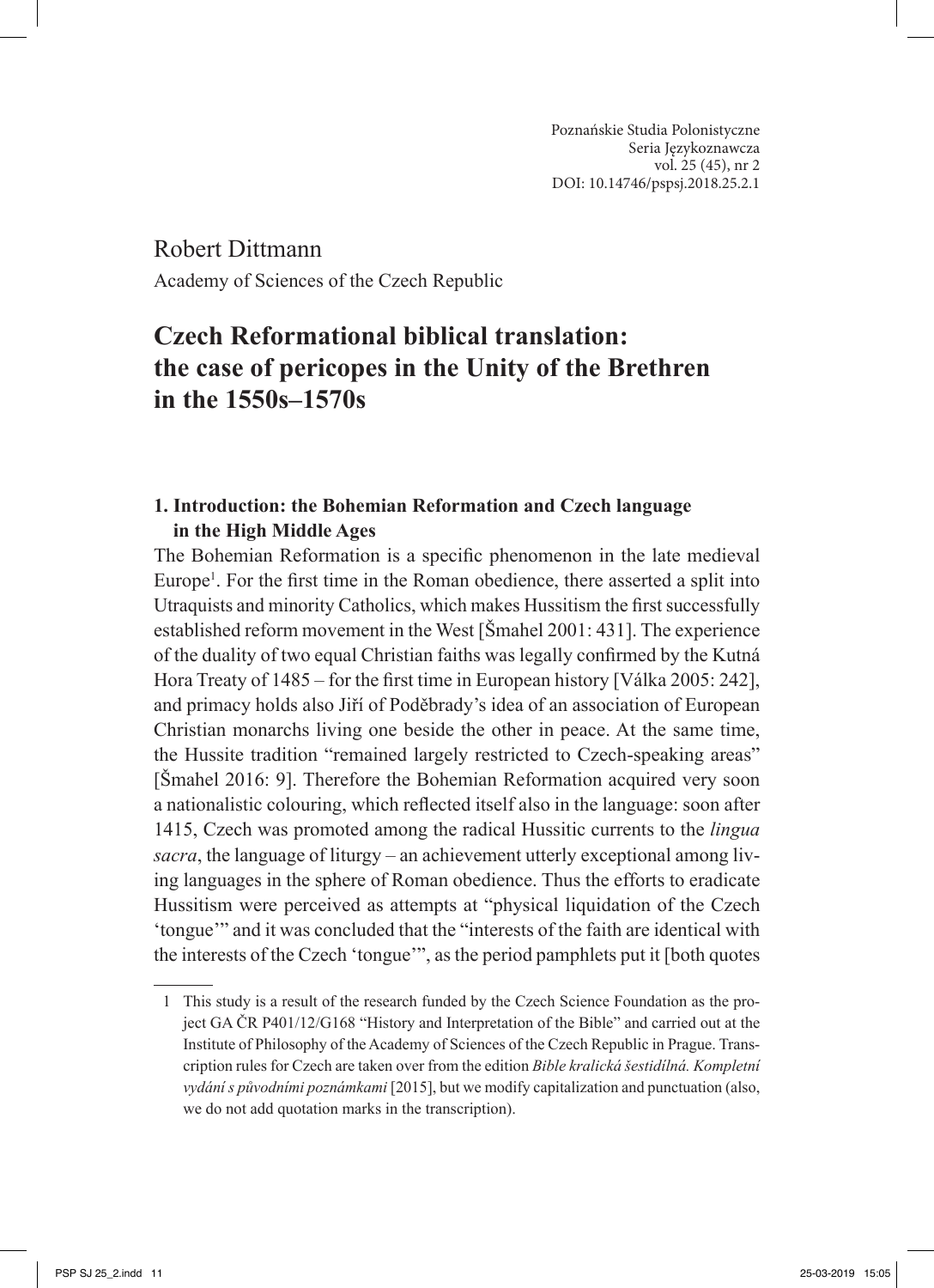Robert Dittmann Academy of Sciences of the Czech Republic

# **Czech Reformational biblical translation: the case of pericopes in the Unity of the Brethren in the 1550s‒1570s**

# **1. Introduction: the Bohemian Reformation and Czech language in the High Middle Ages**

The Bohemian Reformation is a specific phenomenon in the late medieval Europe<sup>1</sup>. For the first time in the Roman obedience, there asserted a split into Utraquists and minority Catholics, which makes Hussitism the first successfully established reform movement in the West [Šmahel 2001: 431]. The experience of the duality of two equal Christian faiths was legally confirmed by the Kutná Hora Treaty of 1485 – for the first time in European history [Válka 2005: 242], and primacy holds also Jiří of Poděbrady's idea of an association of European Christian monarchs living one beside the other in peace. At the same time, the Hussite tradition "remained largely restricted to Czech-speaking areas" [Šmahel 2016: 9]. Therefore the Bohemian Reformation acquired very soon a nationalistic colouring, which reflected itself also in the language: soon after 1415, Czech was promoted among the radical Hussitic currents to the *lingua sacra*, the language of liturgy – an achievement utterly exceptional among living languages in the sphere of Roman obedience. Thus the efforts to eradicate Hussitism were perceived as attempts at "physical liquidation of the Czech ʻtongue'" and it was concluded that the "interests of the faith are identical with the interests of the Czech 'tongue'", as the period pamphlets put it [both quotes

<sup>1</sup> This study is a result of the research funded by the Czech Science Foundation as the project GA ČR P401/12/G168 "History and Interpretation of the Bible" and carried out at the Institute of Philosophy of the Academy of Sciences of the Czech Republic in Prague. Transcription rules for Czech are taken over from the edition *Bible kralická šestidílná. Kompletní vydání s původními poznámkami* [2015], but we modify capitalization and punctuation (also, we do not add quotation marks in the transcription).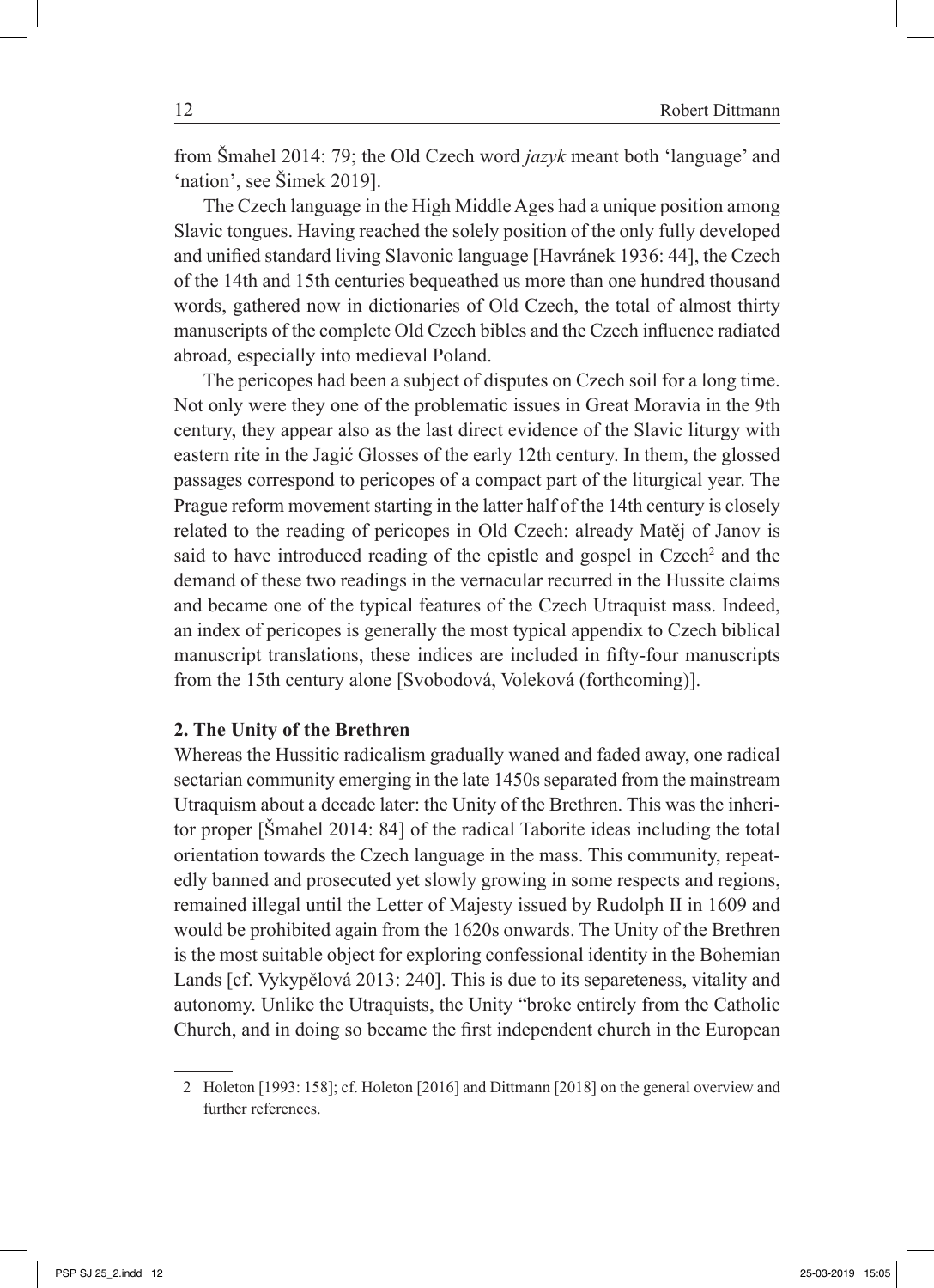from Šmahel 2014: 79; the Old Czech word *jazyk* meant both 'language' and 'nation', see Šimek 2019].

The Czech language in the High Middle Ages had a unique position among Slavic tongues. Having reached the solely position of the only fully developed and unified standard living Slavonic language [Havránek 1936: 44], the Czech of the 14th and 15th centuries bequeathed us more than one hundred thousand words, gathered now in dictionaries of Old Czech, the total of almost thirty manuscripts of the complete Old Czech bibles and the Czech influence radiated abroad, especially into medieval Poland.

The pericopes had been a subject of disputes on Czech soil for a long time. Not only were they one of the problematic issues in Great Moravia in the 9th century, they appear also as the last direct evidence of the Slavic liturgy with eastern rite in the Jagić Glosses of the early 12th century. In them, the glossed passages correspond to pericopes of a compact part of the liturgical year. The Prague reform movement starting in the latter half of the 14th century is closely related to the reading of pericopes in Old Czech: already Matěj of Janov is said to have introduced reading of the epistle and gospel in Czech<sup>2</sup> and the demand of these two readings in the vernacular recurred in the Hussite claims and became one of the typical features of the Czech Utraquist mass. Indeed, an index of pericopes is generally the most typical appendix to Czech biblical manuscript translations, these indices are included in fifty-four manuscripts from the 15th century alone [Svobodová, Voleková (forthcoming)].

### **2. The Unity of the Brethren**

Whereas the Hussitic radicalism gradually waned and faded away, one radical sectarian community emerging in the late 1450s separated from the mainstream Utraquism about a decade later: the Unity of the Brethren. This was the inheritor proper [Šmahel 2014: 84] of the radical Taborite ideas including the total orientation towards the Czech language in the mass. This community, repeatedly banned and prosecuted yet slowly growing in some respects and regions, remained illegal until the Letter of Majesty issued by Rudolph II in 1609 and would be prohibited again from the 1620s onwards. The Unity of the Brethren is the most suitable object for exploring confessional identity in the Bohemian Lands [cf. Vykypělová 2013: 240]. This is due to its separeteness, vitality and autonomy. Unlike the Utraquists, the Unity "broke entirely from the Catholic Church, and in doing so became the first independent church in the European

<sup>2</sup> Holeton [1993: 158]; cf. Holeton [2016] and Dittmann [2018] on the general overview and further references.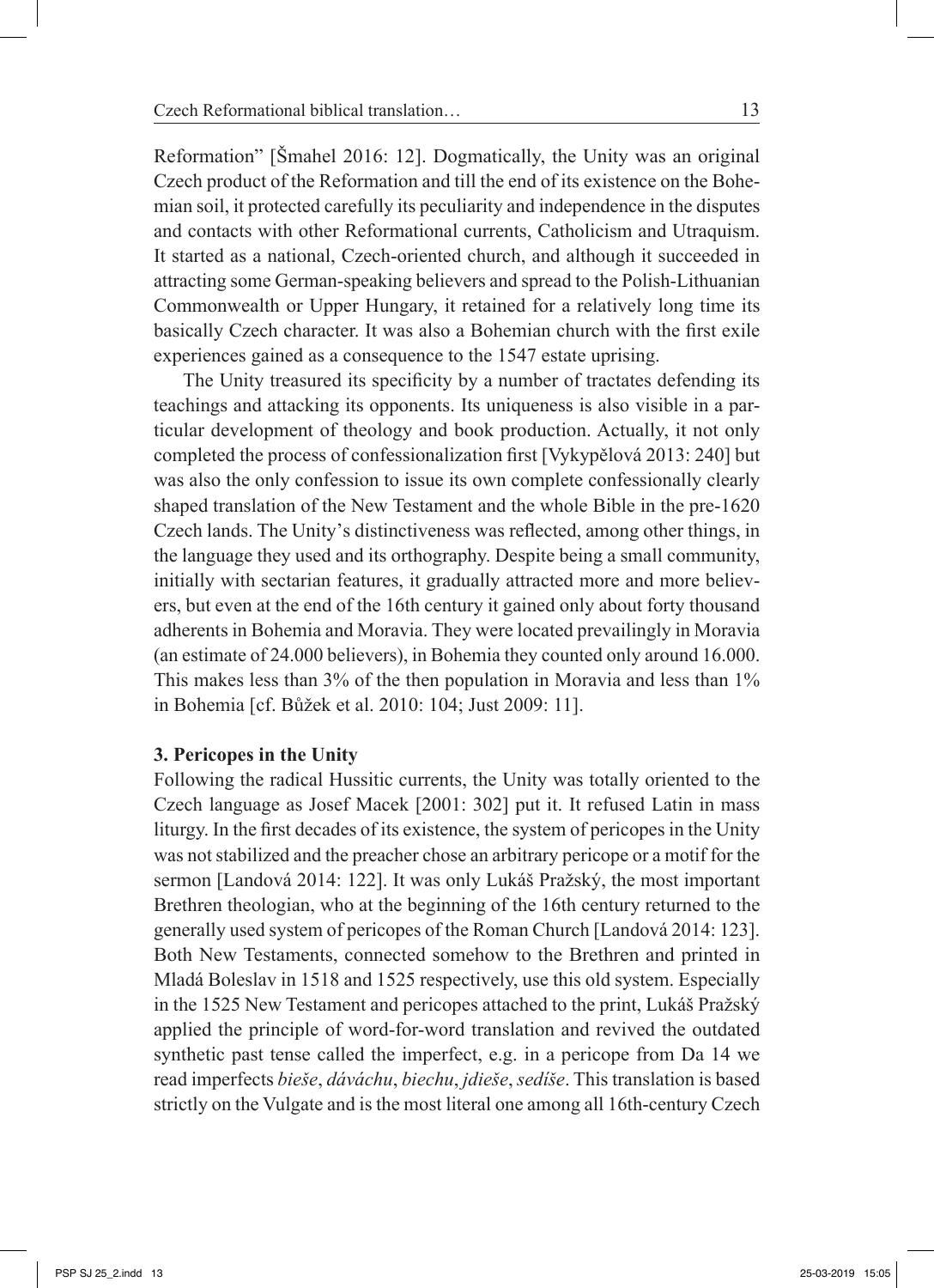Reformation" [Šmahel 2016: 12]. Dogmatically, the Unity was an original Czech product of the Reformation and till the end of its existence on the Bohemian soil, it protected carefully its peculiarity and independence in the disputes and contacts with other Reformational currents, Catholicism and Utraquism. It started as a national, Czech-oriented church, and although it succeeded in attracting some German-speaking believers and spread to the Polish-Lithuanian Commonwealth or Upper Hungary, it retained for a relatively long time its basically Czech character. It was also a Bohemian church with the first exile experiences gained as a consequence to the 1547 estate uprising.

The Unity treasured its specificity by a number of tractates defending its teachings and attacking its opponents. Its uniqueness is also visible in a particular development of theology and book production. Actually, it not only completed the process of confessionalization first [Vykypělová 2013: 240] but was also the only confession to issue its own complete confessionally clearly shaped translation of the New Testament and the whole Bible in the pre-1620 Czech lands. The Unity's distinctiveness was reflected, among other things, in the language they used and its orthography. Despite being a small community, initially with sectarian features, it gradually attracted more and more believers, but even at the end of the 16th century it gained only about forty thousand adherents in Bohemia and Moravia. They were located prevailingly in Moravia (an estimate of 24.000 believers), in Bohemia they counted only around 16.000. This makes less than 3% of the then population in Moravia and less than 1% in Bohemia [cf. Bůžek et al. 2010: 104; Just 2009: 11].

### **3. Pericopes in the Unity**

Following the radical Hussitic currents, the Unity was totally oriented to the Czech language as Josef Macek [2001: 302] put it. It refused Latin in mass liturgy. In the first decades of its existence, the system of pericopes in the Unity was not stabilized and the preacher chose an arbitrary pericope or a motif for the sermon [Landová 2014: 122]. It was only Lukáš Pražský, the most important Brethren theologian, who at the beginning of the 16th century returned to the generally used system of pericopes of the Roman Church [Landová 2014: 123]. Both New Testaments, connected somehow to the Brethren and printed in Mladá Boleslav in 1518 and 1525 respectively, use this old system. Especially in the 1525 New Testament and pericopes attached to the print, Lukáš Pražský applied the principle of word-for-word translation and revived the outdated synthetic past tense called the imperfect, e.g. in a pericope from Da 14 we read imperfects *bieše*, *dáváchu*, *biechu*, *jdieše*, *sedíše*. This translation is based strictly on the Vulgate and is the most literal one among all 16th-century Czech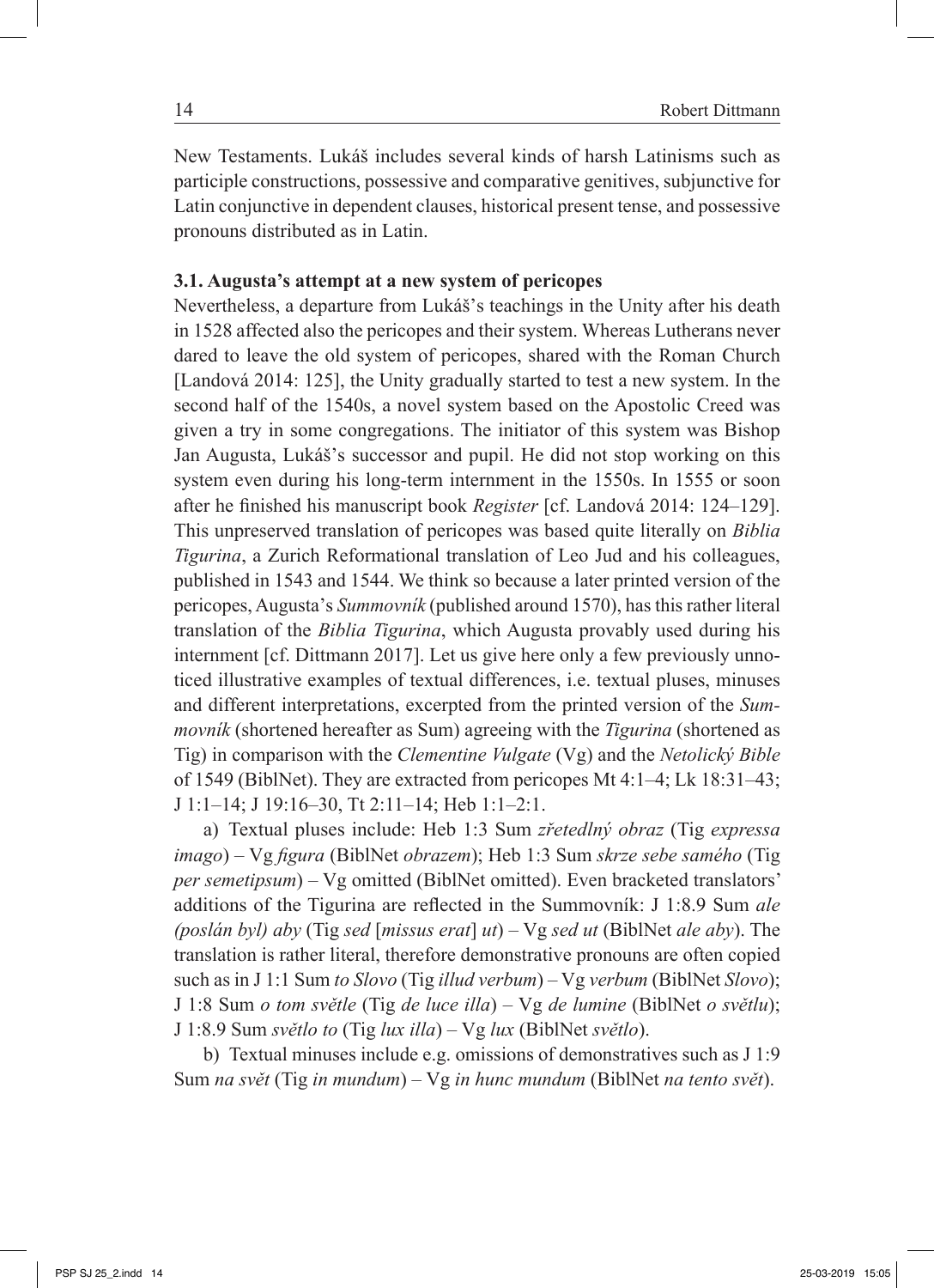New Testaments. Lukáš includes several kinds of harsh Latinisms such as participle constructions, possessive and comparative genitives, subjunctive for Latin conjunctive in dependent clauses, historical present tense, and possessive pronouns distributed as in Latin.

#### **3.1. Augusta's attempt at a new system of pericopes**

Nevertheless, a departure from Lukáš's teachings in the Unity after his death in 1528 affected also the pericopes and their system. Whereas Lutherans never dared to leave the old system of pericopes, shared with the Roman Church [Landová 2014: 125], the Unity gradually started to test a new system. In the second half of the 1540s, a novel system based on the Apostolic Creed was given a try in some congregations. The initiator of this system was Bishop Jan Augusta, Lukáš's successor and pupil. He did not stop working on this system even during his long-term internment in the 1550s. In 1555 or soon after he finished his manuscript book *Register* [cf. Landová 2014: 124‒129]. This unpreserved translation of pericopes was based quite literally on *Biblia Tigurina*, a Zurich Reformational translation of Leo Jud and his colleagues, published in 1543 and 1544. We think so because a later printed version of the pericopes, Augusta's *Summovník* (published around 1570), has this rather literal translation of the *Biblia Tigurina*, which Augusta provably used during his internment [cf. Dittmann 2017]. Let us give here only a few previously unnoticed illustrative examples of textual differences, i.e. textual pluses, minuses and different interpretations, excerpted from the printed version of the *Summovník* (shortened hereafter as Sum) agreeing with the *Tigurina* (shortened as Tig) in comparison with the *Clementine Vulgate* (Vg) and the *Netolický Bible* of 1549 (BiblNet). They are extracted from pericopes Mt 4:1–4; Lk 18:31–43; J 1:1‒14; J 19:16‒30, Tt 2:11‒14; Heb 1:1‒2:1.

a) Textual pluses include: Heb 1:3 Sum *zřetedlný obraz* (Tig *expressa imago*) – Vg *figura* (BiblNet *obrazem*); Heb 1:3 Sum *skrze sebe samého* (Tig *per semetipsum*) – Vg omitted (BiblNet omitted). Even bracketed translators' additions of the Tigurina are reflected in the Summovník: J 1:8.9 Sum *ale (poslán byl) aby* (Tig *sed* [*missus erat*] *ut*) – Vg *sed ut* (BiblNet *ale aby*). The translation is rather literal, therefore demonstrative pronouns are often copied such as in J 1:1 Sum *to Slovo* (Tig *illud verbum*) – Vg *verbum* (BiblNet *Slovo*); J 1:8 Sum *o tom světle* (Tig *de luce illa*) – Vg *de lumine* (BiblNet *o světlu*); J 1:8.9 Sum *světlo to* (Tig *lux illa*) – Vg *lux* (BiblNet *světlo*).

b) Textual minuses include e.g. omissions of demonstratives such as J 1:9 Sum *na svět* (Tig *in mundum*) – Vg *in hunc mundum* (BiblNet *na tento svět*).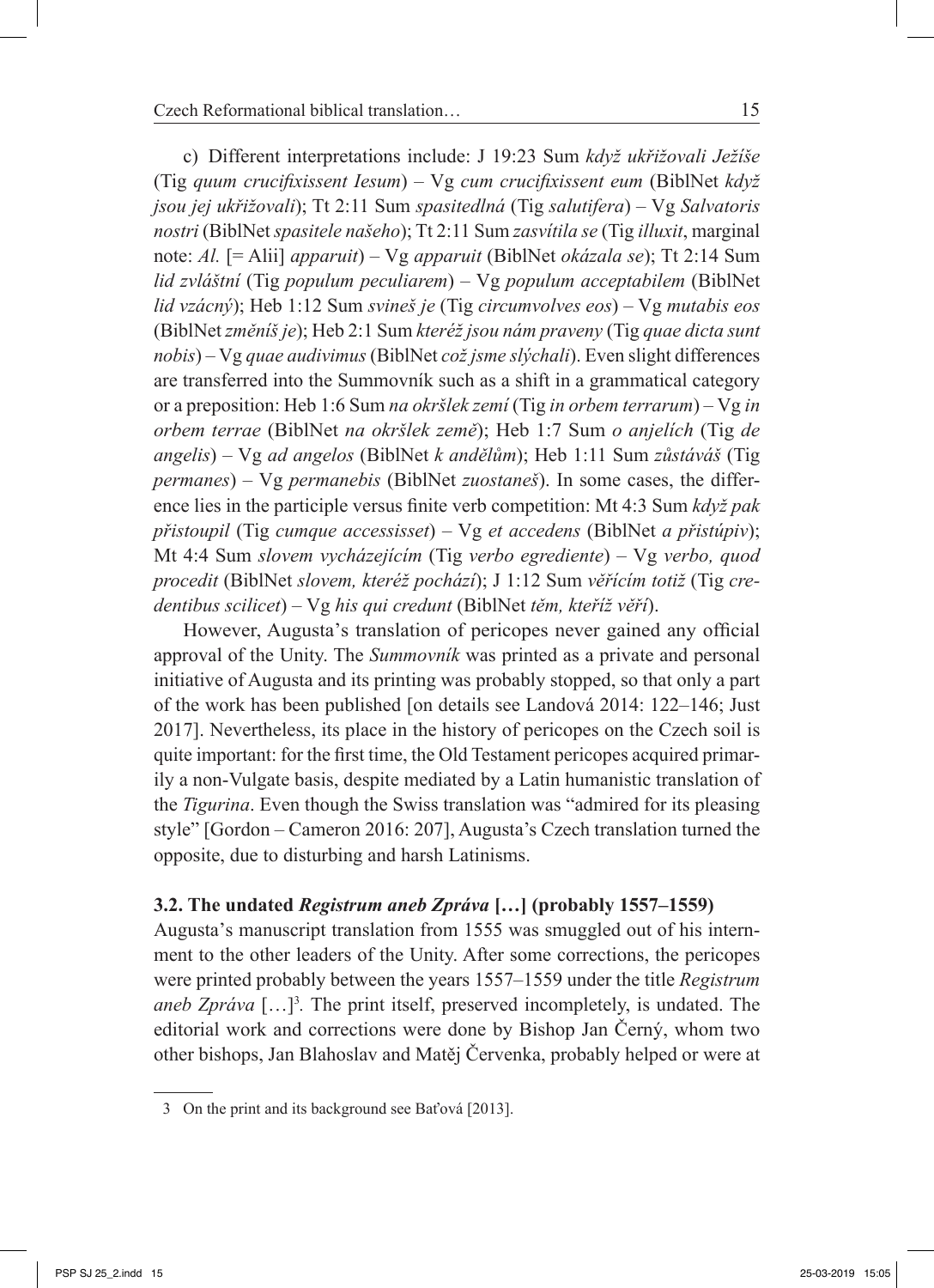c) Different interpretations include: J 19:23 Sum *když ukřižovali Ježíše* (Tig *quum crucifixissent Iesum*) – Vg *cum crucifixissent eum* (BiblNet *když jsou jej ukřižovali*); Tt 2:11 Sum *spasitedlná* (Tig *salutifera*) – Vg *Salvatoris nostri* (BiblNet *spasitele našeho*); Tt 2:11 Sum *zasvítila se* (Tig *illuxit*, marginal note: *Al.* [= Alii] *apparuit*) – Vg *apparuit* (BiblNet *okázala se*); Tt 2:14 Sum *lid zvláštní* (Tig *populum peculiarem*) – Vg *populum acceptabilem* (BiblNet *lid vzácný*); Heb 1:12 Sum *svineš je* (Tig *circumvolves eos*) – Vg *mutabis eos* (BiblNet *změníš je*); Heb 2:1 Sum *kteréž jsou nám praveny* (Tig *quae dicta sunt nobis*) – Vg *quae audivimus* (BiblNet *což jsme slýchali*). Even slight differences are transferred into the Summovník such as a shift in a grammatical category or a preposition: Heb 1:6 Sum *na okršlek zemí* (Tig *in orbem terrarum*) – Vg *in orbem terrae* (BiblNet *na okršlek země*); Heb 1:7 Sum *o anjelích* (Tig *de angelis*) – Vg *ad angelos* (BiblNet *k andělům*); Heb 1:11 Sum *zůstáváš* (Tig *permanes*) – Vg *permanebis* (BiblNet *zuostaneš*). In some cases, the difference lies in the participle versus finite verb competition: Mt 4:3 Sum *když pak přistoupil* (Tig *cumque accessisset*) – Vg *et accedens* (BiblNet *a přistúpiv*); Mt 4:4 Sum *slovem vycházejícím* (Tig *verbo egrediente*) – Vg *verbo, quod procedit* (BiblNet *slovem, kteréž pochází*); J 1:12 Sum *věřícím totiž* (Tig *credentibus scilicet*) – Vg *his qui credunt* (BiblNet *těm, kteříž věří*).

However, Augusta's translation of pericopes never gained any official approval of the Unity. The *Summovník* was printed as a private and personal initiative of Augusta and its printing was probably stopped, so that only a part of the work has been published [on details see Landová 2014: 122–146; Just 2017]. Nevertheless, its place in the history of pericopes on the Czech soil is quite important: for the first time, the Old Testament pericopes acquired primarily a non-Vulgate basis, despite mediated by a Latin humanistic translation of the *Tigurina*. Even though the Swiss translation was "admired for its pleasing style" [Gordon – Cameron 2016: 207], Augusta's Czech translation turned the opposite, due to disturbing and harsh Latinisms.

## **3.2. The undated** *Registrum aneb Zpráva* **[…] (probably 1557‒1559)**

Augusta's manuscript translation from 1555 was smuggled out of his internment to the other leaders of the Unity. After some corrections, the pericopes were printed probably between the years 1557–1559 under the title *Registrum* aneb Zpráva [...]<sup>3</sup>. The print itself, preserved incompletely, is undated. The editorial work and corrections were done by Bishop Jan Černý, whom two other bishops, Jan Blahoslav and Matěj Červenka, probably helped or were at

<sup>3</sup> On the print and its background see Baťová [2013].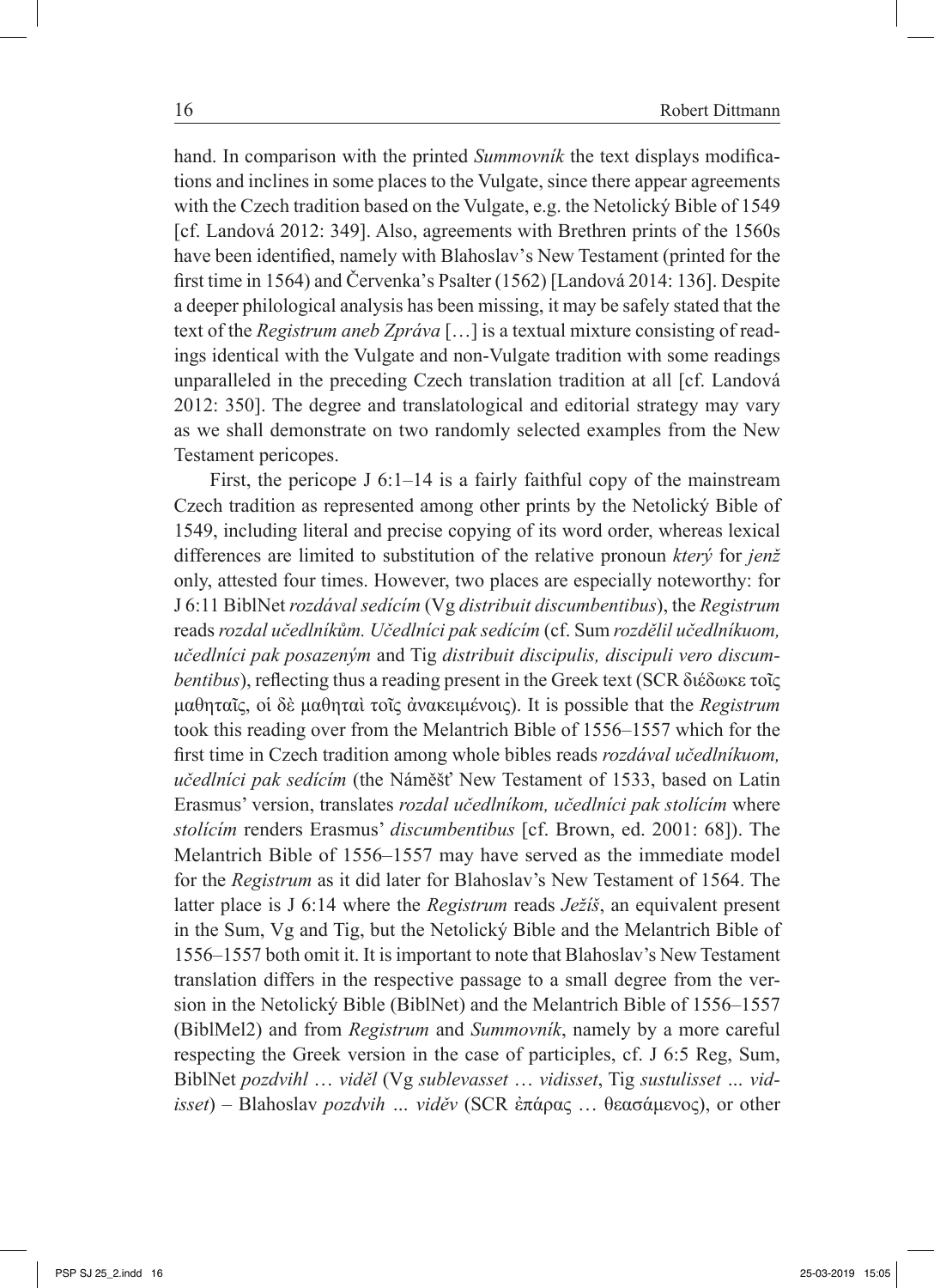hand. In comparison with the printed *Summovník* the text displays modifications and inclines in some places to the Vulgate, since there appear agreements with the Czech tradition based on the Vulgate, e.g. the Netolický Bible of 1549 [cf. Landová 2012: 349]. Also, agreements with Brethren prints of the 1560s have been identified, namely with Blahoslav's New Testament (printed for the first time in 1564) and Červenka's Psalter (1562) [Landová 2014: 136]. Despite a deeper philological analysis has been missing, it may be safely stated that the text of the *Registrum aneb Zpráva* […] is a textual mixture consisting of readings identical with the Vulgate and non-Vulgate tradition with some readings unparalleled in the preceding Czech translation tradition at all [cf. Landová 2012: 350]. The degree and translatological and editorial strategy may vary as we shall demonstrate on two randomly selected examples from the New Testament pericopes.

First, the pericope J  $6:1-14$  is a fairly faithful copy of the mainstream Czech tradition as represented among other prints by the Netolický Bible of 1549, including literal and precise copying of its word order, whereas lexical differences are limited to substitution of the relative pronoun *který* for *jenž*  only, attested four times. However, two places are especially noteworthy: for J 6:11 BiblNet *rozdával sedícím* (Vg *distribuit discumbentibus*), the *Registrum* reads *rozdal učedlníkům. Učedlníci pak sedícím* (cf. Sum *rozdělil učedlníkuom, učedlníci pak posazeným* and Tig *distribuit discipulis, discipuli vero discumbentibus*), reflecting thus a reading present in the Greek text (SCR διέδωκε τοῖς μαθηταῖς, οἱ δὲ μαθηταὶ τοῖς ἀνακειμένοις). It is possible that the *Registrum* took this reading over from the Melantrich Bible of 1556–1557 which for the first time in Czech tradition among whole bibles reads *rozdával učedlníkuom, učedlníci pak sedícím* (the Náměšť New Testament of 1533, based on Latin Erasmus' version, translates *rozdal učedlníkom, učedlníci pak stolícím* where *stolícím* renders Erasmus' *discumbentibus* [cf. Brown, ed. 2001: 68]). The Melantrich Bible of 1556–1557 may have served as the immediate model for the *Registrum* as it did later for Blahoslav's New Testament of 1564. The latter place is J 6:14 where the *Registrum* reads *Ježíš*, an equivalent present in the Sum, Vg and Tig, but the Netolický Bible and the Melantrich Bible of 1556‒1557 both omit it. It is important to note that Blahoslav's New Testament translation differs in the respective passage to a small degree from the version in the Netolický Bible (BiblNet) and the Melantrich Bible of 1556–1557 (BiblMel2) and from *Registrum* and *Summovník*, namely by a more careful respecting the Greek version in the case of participles, cf. J 6:5 Reg, Sum, BiblNet *pozdvihl* … *viděl* (Vg *sublevasset* … *vidisset*, Tig *sustulisset … vidisset*) – Blahoslav *pozdvih … viděv* (SCR ἐπάρας … θεασάμενος), or other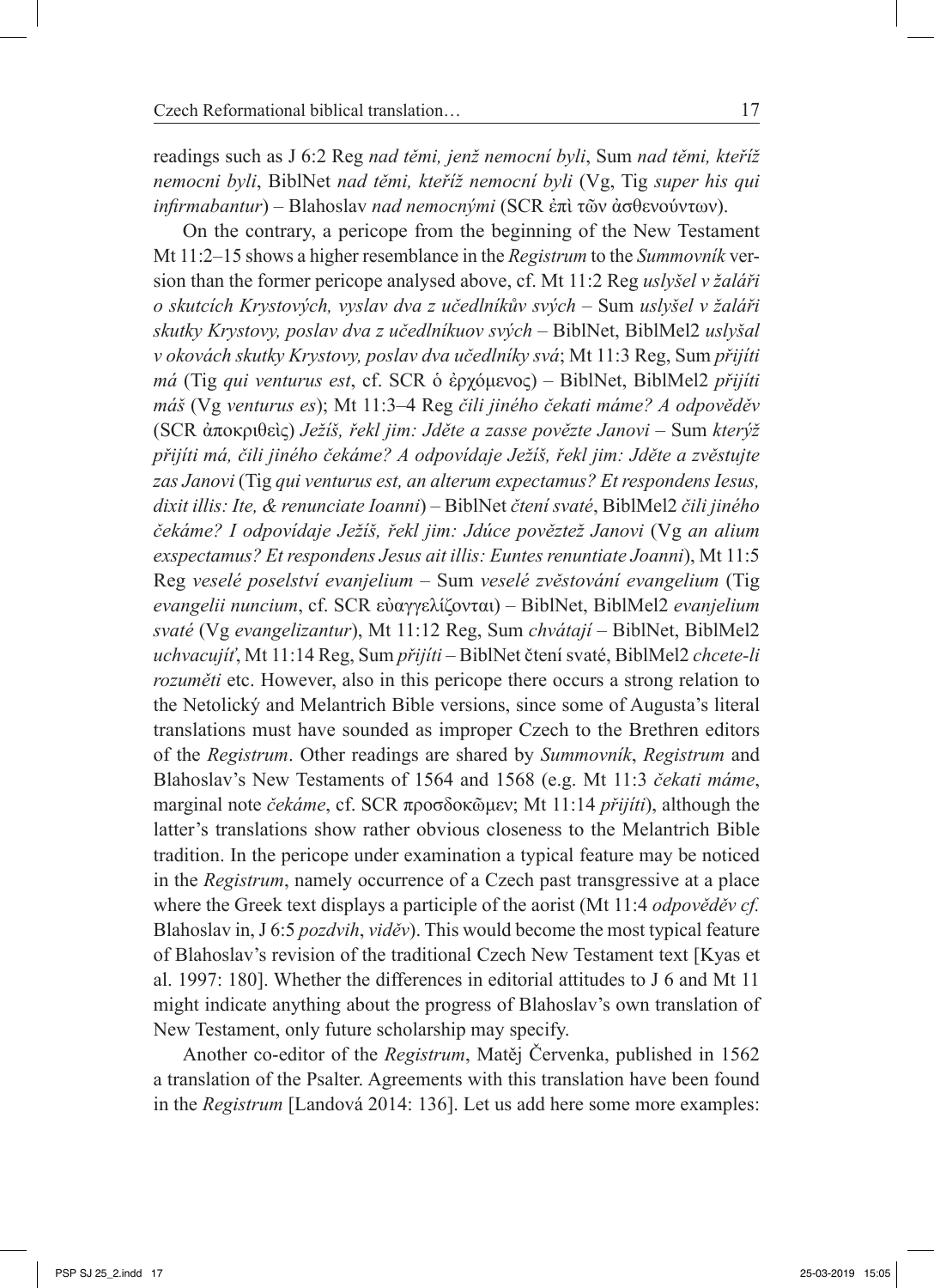readings such as J 6:2 Reg *nad těmi, jenž nemocní byli*, Sum *nad těmi, kteříž nemocni byli*, BiblNet *nad těmi, kteříž nemocní byli* (Vg, Tig *super his qui infirmabantur*) – Blahoslav *nad nemocnými* (SCR ἐπὶ τῶν ἀσθενούντων).

On the contrary, a pericope from the beginning of the New Testament Mt 11:2‒15 shows a higher resemblance in the *Registrum* to the *Summovník* version than the former pericope analysed above, cf. Mt 11:2 Reg *uslyšel v žaláři o skutcích Krystových, vyslav dva z učedlníkův svých* – Sum *uslyšel v žaláři skutky Krystovy, poslav dva z učedlníkuov svých* – BiblNet, BiblMel2 *uslyšal v okovách skutky Krystovy, poslav dva učedlníky svá*; Mt 11:3 Reg, Sum *přijíti má* (Tig *qui venturus est*, cf. SCR ὁ ἐρχόμενος) – BiblNet, BiblMel2 *přijíti máš* (Vg *venturus es*); Mt 11:3‒4 Reg *čili jiného čekati máme? A odpověděv*  (SCR ἀποκριθεὶς) *Ježíš, řekl jim: Jděte a zasse povězte Janovi* – Sum *kterýž přijíti má, čili jiného čekáme? A odpovídaje Ježíš, řekl jim: Jděte a zvěstujte zas Janovi* (Tig *qui venturus est, an alterum expectamus? Et respondens Iesus, dixit illis: Ite, & renunciate Ioanni*) – BiblNet *čtení svaté*, BiblMel2 *čili jiného čekáme? I odpovídaje Ježíš, řekl jim: Jdúce pověztež Janovi* (Vg *an alium exspectamus? Et respondens Jesus ait illis: Euntes renuntiate Joanni*), Mt 11:5 Reg *veselé poselství evanjelium* – Sum *veselé zvěstování evangelium* (Tig *evangelii nuncium*, cf. SCR εὐαγγελίζονται) – BiblNet, BiblMel2 *evanjelium svaté* (Vg *evangelizantur*), Mt 11:12 Reg, Sum *chvátají* – BiblNet, BiblMel2 *uchvacujíť*, Mt 11:14 Reg, Sum *přijíti* – BiblNet čtení svaté, BiblMel2 *chcete-li rozuměti* etc. However, also in this pericope there occurs a strong relation to the Netolický and Melantrich Bible versions, since some of Augusta's literal translations must have sounded as improper Czech to the Brethren editors of the *Registrum*. Other readings are shared by *Summovník*, *Registrum* and Blahoslav's New Testaments of 1564 and 1568 (e.g. Mt 11:3 *čekati máme*, marginal note *čekáme*, cf. SCR προσδοκῶμεν; Mt 11:14 *přijíti*), although the latter's translations show rather obvious closeness to the Melantrich Bible tradition. In the pericope under examination a typical feature may be noticed in the *Registrum*, namely occurrence of a Czech past transgressive at a place where the Greek text displays a participle of the aorist (Mt 11:4 *odpověděv cf.*  Blahoslav in, J 6:5 *pozdvih*, *viděv*). This would become the most typical feature of Blahoslav's revision of the traditional Czech New Testament text [Kyas et al. 1997: 180]. Whether the differences in editorial attitudes to J 6 and Mt 11 might indicate anything about the progress of Blahoslav's own translation of New Testament, only future scholarship may specify.

Another co-editor of the *Registrum*, Matěj Červenka, published in 1562 a translation of the Psalter. Agreements with this translation have been found in the *Registrum* [Landová 2014: 136]. Let us add here some more examples: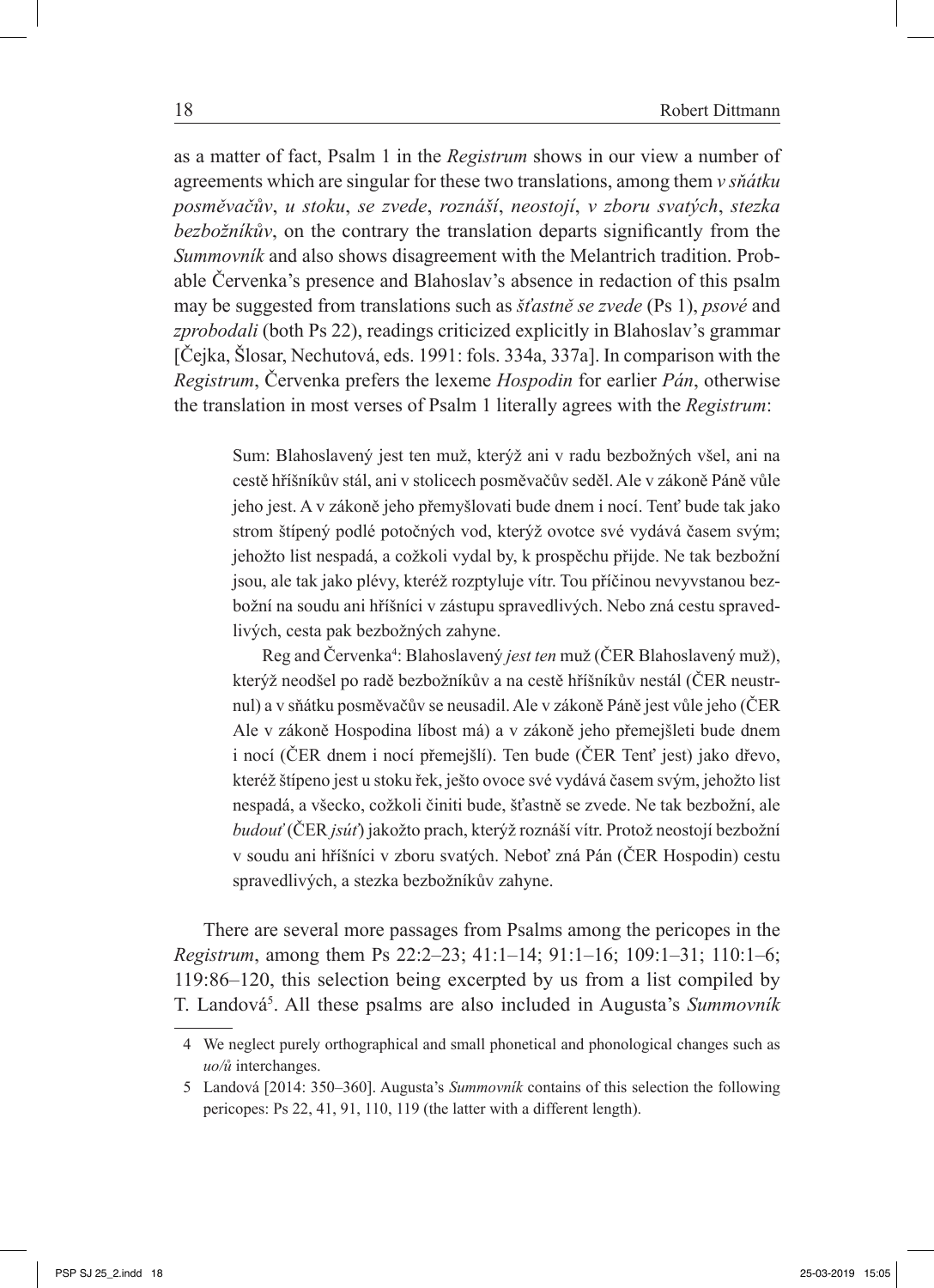as a matter of fact, Psalm 1 in the *Registrum* shows in our view a number of agreements which are singular for these two translations, among them *v sňátku posměvačův*, *u stoku*, *se zvede*, *roznáší*, *neostojí*, *v zboru svatých*, *stezka bezbožníkův*, on the contrary the translation departs significantly from the *Summovník* and also shows disagreement with the Melantrich tradition. Probable Červenka's presence and Blahoslav's absence in redaction of this psalm may be suggested from translations such as *šťastně se zvede* (Ps 1), *psové* and zprobodali (both Ps 22), readings criticized explicitly in Blahoslav's grammar [Čejka, Šlosar, Nechutová, eds. 1991: fols. 334a, 337a]. In comparison with the *Registrum*, Červenka prefers the lexeme *Hospodin* for earlier *Pán*, otherwise the translation in most verses of Psalm 1 literally agrees with the *Registrum*:

Sum: Blahoslavený jest ten muž, kterýž ani v radu bezbožných všel, ani na cestě hříšníkův stál, ani v stolicech posměvačův seděl. Ale v zákoně Páně vůle jeho jest. A v zákoně jeho přemyšlovati bude dnem i nocí. Tenť bude tak jako strom štípený podlé potočných vod, kterýž ovotce své vydává časem svým; jehožto list nespadá, a cožkoli vydal by, k prospěchu přijde. Ne tak bezbožní jsou, ale tak jako plévy, kteréž rozptyluje vítr. Tou příčinou nevyvstanou bezbožní na soudu ani hříšníci v zástupu spravedlivých. Nebo zná cestu spravedlivých, cesta pak bezbožných zahyne.

Reg and Červenka<sup>4</sup>: Blahoslavený *jest ten* muž (ČER Blahoslavený muž), kterýž neodšel po radě bezbožníkův a na cestě hříšníkův nestál (ČER neustrnul) a v sňátku posměvačův se neusadil. Ale v zákoně Páně jest vůle jeho (ČER Ale v zákoně Hospodina líbost má) a v zákoně jeho přemejšleti bude dnem i nocí (ČER dnem i nocí přemejšlí). Ten bude (ČER Tenť jest) jako dřevo, kteréž štípeno jest u stoku řek, ješto ovoce své vydává časem svým, jehožto list nespadá, a všecko, cožkoli činiti bude, šťastně se zvede. Ne tak bezbožní, ale *budouť* (ČER *jsúť*) jakožto prach, kterýž roznáší vítr. Protož neostojí bezbožní v soudu ani hříšníci v zboru svatých. Neboť zná Pán (ČER Hospodin) cestu spravedlivých, a stezka bezbožníkův zahyne.

There are several more passages from Psalms among the pericopes in the *Registrum*, among them Ps 22:2–23; 41:1–14; 91:1–16; 109:1–31; 110:1–6; 119:86‒120, this selection being excerpted by us from a list compiled by T. Landová5 . All these psalms are also included in Augusta's *Summovník* 

<sup>4</sup> We neglect purely orthographical and small phonetical and phonological changes such as *uo/ů* interchanges.

<sup>5</sup> Landová [2014: 350‒360]. Augusta's *Summovník* contains of this selection the following pericopes: Ps 22, 41, 91, 110, 119 (the latter with a different length).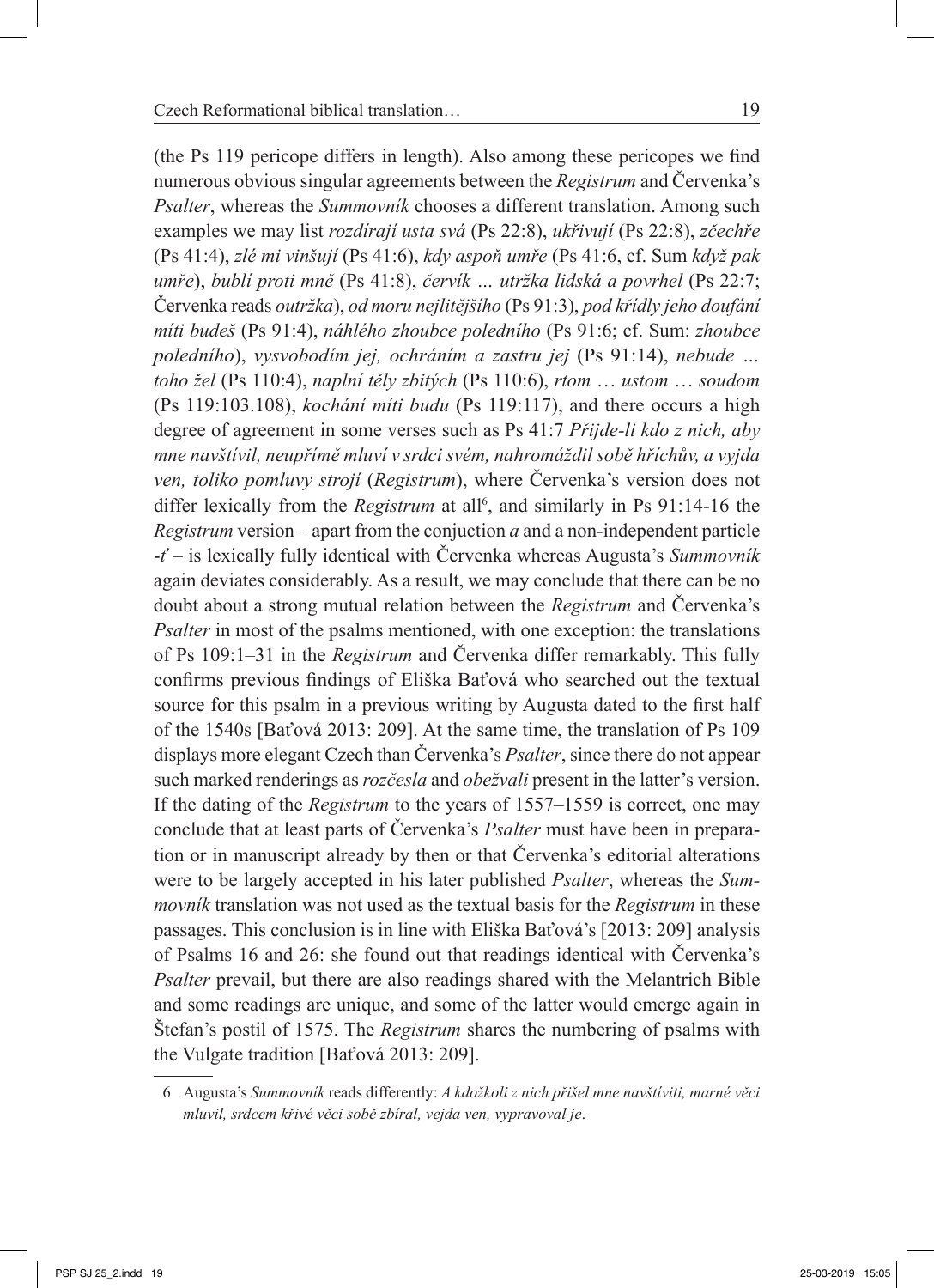(the Ps 119 pericope differs in length). Also among these pericopes we find numerous obvious singular agreements between the *Registrum* and Červenka's *Psalter*, whereas the *Summovník* chooses a different translation. Among such examples we may list *rozdírají usta svá* (Ps 22:8), *ukřivují* (Ps 22:8), *zčechře* (Ps 41:4), *zlé mi vinšují* (Ps 41:6), *kdy aspoň umře* (Ps 41:6, cf. Sum *když pak umře*), *bublí proti mně* (Ps 41:8), *červík … utržka lidská a povrhel* (Ps 22:7; Červenka reads *outržka*), *od moru nejlitějšího* (Ps 91:3), *pod křídly jeho doufání míti budeš* (Ps 91:4), *náhlého zhoubce poledního* (Ps 91:6; cf. Sum: *zhoubce poledního*), *vysvobodím jej, ochráním a zastru jej* (Ps 91:14), *nebude … toho žel* (Ps 110:4), *naplní těly zbitých* (Ps 110:6), *rtom* … *ustom* … *soudom* (Ps 119:103.108), *kochání míti budu* (Ps 119:117), and there occurs a high degree of agreement in some verses such as Ps 41:7 *Přijde-li kdo z nich, aby mne navštívil, neupřímě mluví v srdci svém, nahromáždil sobě hříchův, a vyjda ven, toliko pomluvy strojí* (*Registrum*), where Červenka's version does not differ lexically from the *Registrum* at all<sup>6</sup>, and similarly in Ps 91:14-16 the *Registrum* version – apart from the conjuction *a* and a non-independent particle -*ť* – is lexically fully identical with Červenka whereas Augusta's *Summovník* again deviates considerably. As a result, we may conclude that there can be no doubt about a strong mutual relation between the *Registrum* and Červenka's *Psalter* in most of the psalms mentioned, with one exception: the translations of Ps 109:1‒31 in the *Registrum* and Červenka differ remarkably. This fully confirms previous findings of Eliška Baťová who searched out the textual source for this psalm in a previous writing by Augusta dated to the first half of the 1540s [Baťová 2013: 209]. At the same time, the translation of Ps 109 displays more elegant Czech than Červenka's *Psalter*, since there do not appear such marked renderings as *rozčesla* and *obežvali* present in the latter's version. If the dating of the *Registrum* to the years of 1557–1559 is correct, one may conclude that at least parts of Červenka's *Psalter* must have been in preparation or in manuscript already by then or that Červenka's editorial alterations were to be largely accepted in his later published *Psalter*, whereas the *Summovník* translation was not used as the textual basis for the *Registrum* in these passages. This conclusion is in line with Eliška Baťová's [2013: 209] analysis of Psalms 16 and 26: she found out that readings identical with Červenka's *Psalter* prevail, but there are also readings shared with the Melantrich Bible and some readings are unique, and some of the latter would emerge again in Štefan's postil of 1575. The *Registrum* shares the numbering of psalms with the Vulgate tradition [Baťová 2013: 209].

<sup>6</sup> Augusta's *Summovník* reads differently: *A kdožkoli z nich přišel mne navštíviti, marné věci mluvil, srdcem křivé věci sobě zbíral, vejda ven, vypravoval je*.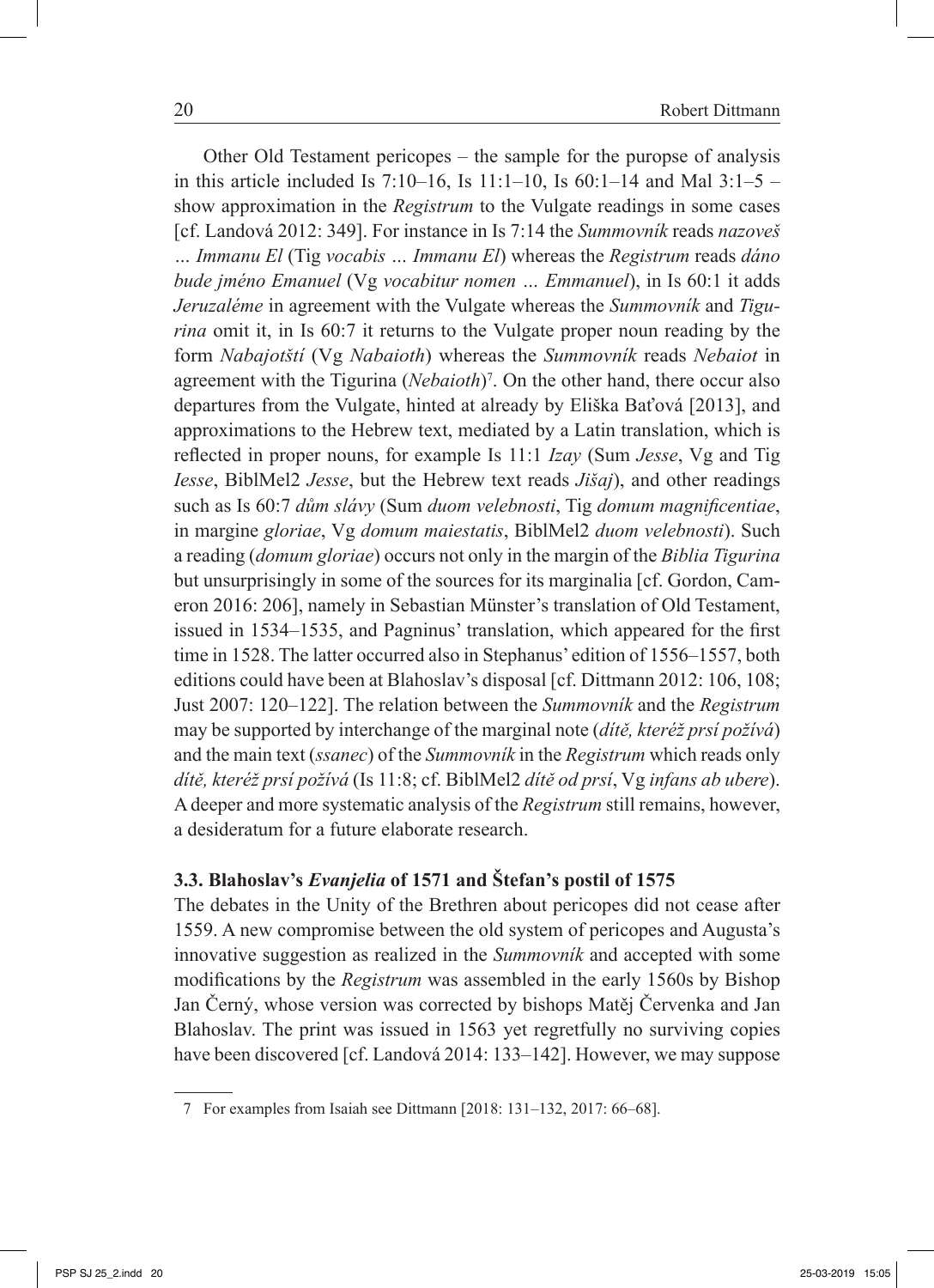Other Old Testament pericopes – the sample for the puropse of analysis in this article included Is 7:10–16, Is  $11:1-10$ , Is  $60:1-14$  and Mal  $3:1-5$  – show approximation in the *Registrum* to the Vulgate readings in some cases [cf. Landová 2012: 349]. For instance in Is 7:14 the *Summovník* reads *nazoveš … Immanu El* (Tig *vocabis … Immanu El*) whereas the *Registrum* reads *dáno bude jméno Emanuel* (Vg *vocabitur nomen … Emmanuel*), in Is 60:1 it adds *Jeruzaléme* in agreement with the Vulgate whereas the *Summovník* and *Tigurina* omit it, in Is 60:7 it returns to the Vulgate proper noun reading by the form *Nabajotští* (Vg *Nabaioth*) whereas the *Summovník* reads *Nebaiot* in agreement with the Tigurina (*Nebaioth*)<sup>7</sup>. On the other hand, there occur also departures from the Vulgate, hinted at already by Eliška Baťová [2013], and approximations to the Hebrew text, mediated by a Latin translation, which is reflected in proper nouns, for example Is 11:1 *Izay* (Sum *Jesse*, Vg and Tig *Iesse*, BiblMel2 *Jesse*, but the Hebrew text reads *Jišaj*), and other readings such as Is 60:7 *dům slávy* (Sum *duom velebnosti*, Tig *domum magnificentiae*, in margine *gloriae*, Vg *domum maiestatis*, BiblMel2 *duom velebnosti*). Such a reading (*domum gloriae*) occurs not only in the margin of the *Biblia Tigurina* but unsurprisingly in some of the sources for its marginalia [cf. Gordon, Cameron 2016: 206], namely in Sebastian Münster's translation of Old Testament, issued in 1534–1535, and Pagninus' translation, which appeared for the first time in 1528. The latter occurred also in Stephanus' edition of 1556–1557, both editions could have been at Blahoslav's disposal [cf. Dittmann 2012: 106, 108; Just 2007: 120‒122]. The relation between the *Summovník* and the *Registrum* may be supported by interchange of the marginal note (*dítě, kteréž prsí požívá*) and the main text (*ssanec*) of the *Summovník* in the *Registrum* which reads only *dítě, kteréž prsí požívá* (Is 11:8; cf. BiblMel2 *dítě od prsí*, Vg *infans ab ubere*). A deeper and more systematic analysis of the *Registrum* still remains, however, a desideratum for a future elaborate research.

# **3.3. Blahoslav's** *Evanjelia* **of 1571 and Štefan's postil of 1575**

The debates in the Unity of the Brethren about pericopes did not cease after 1559. A new compromise between the old system of pericopes and Augusta's innovative suggestion as realized in the *Summovník* and accepted with some modifications by the *Registrum* was assembled in the early 1560s by Bishop Jan Černý, whose version was corrected by bishops Matěj Červenka and Jan Blahoslav. The print was issued in 1563 yet regretfully no surviving copies have been discovered [cf. Landová 2014: 133–142]. However, we may suppose

<sup>7</sup> For examples from Isaiah see Dittmann [2018: 131–132, 2017: 66–68].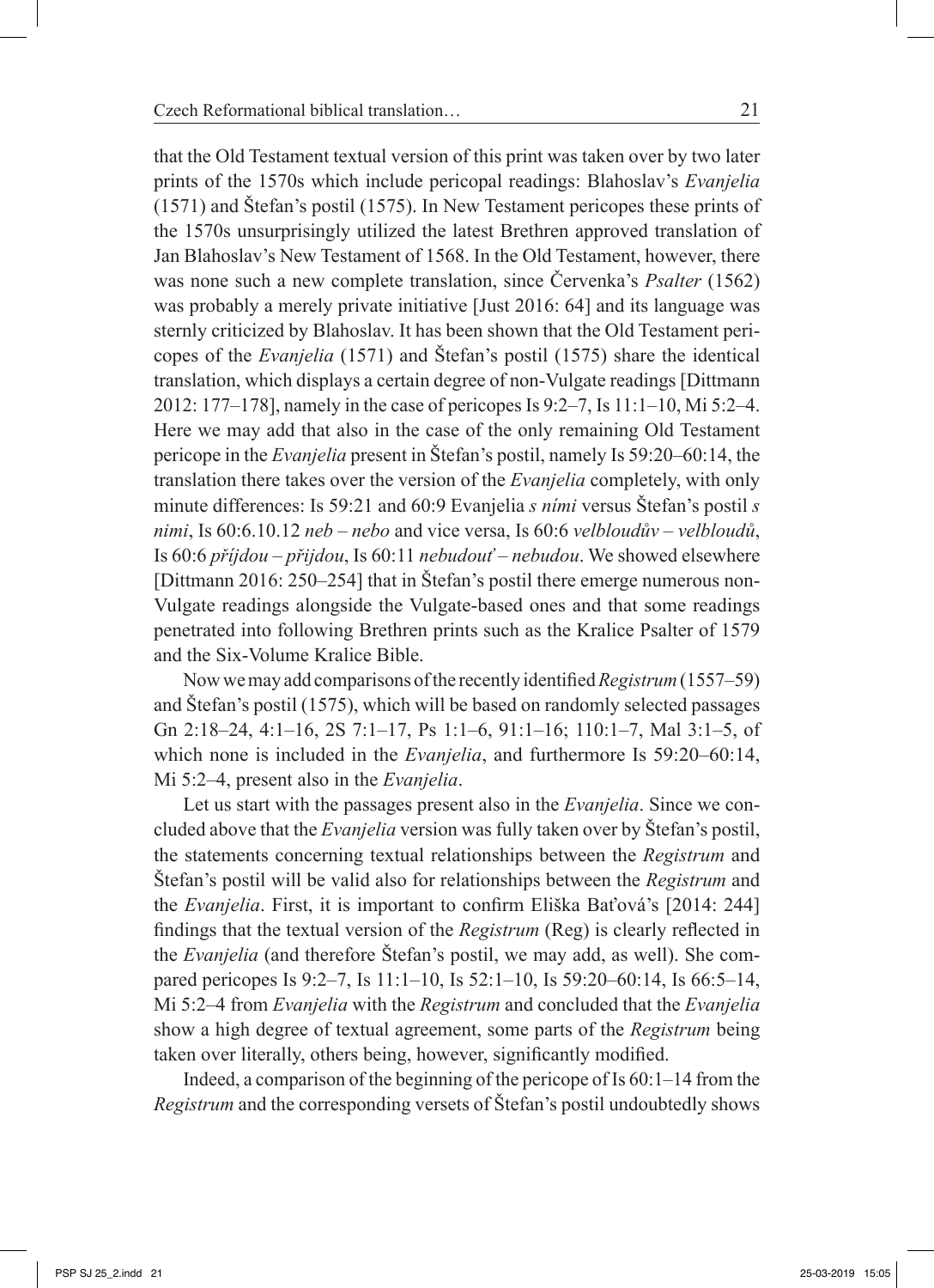that the Old Testament textual version of this print was taken over by two later prints of the 1570s which include pericopal readings: Blahoslav's *Evanjelia* (1571) and Štefan's postil (1575). In New Testament pericopes these prints of the 1570s unsurprisingly utilized the latest Brethren approved translation of Jan Blahoslav's New Testament of 1568. In the Old Testament, however, there was none such a new complete translation, since Červenka's *Psalter* (1562) was probably a merely private initiative [Just 2016: 64] and its language was sternly criticized by Blahoslav. It has been shown that the Old Testament pericopes of the *Evanjelia* (1571) and Štefan's postil (1575) share the identical translation, which displays a certain degree of non-Vulgate readings [Dittmann 2012: 177‒178], namely in the case of pericopes Is 9:2‒7, Is 11:1‒10, Mi 5:2‒4. Here we may add that also in the case of the only remaining Old Testament pericope in the *Evanjelia* present in Štefan's postil, namely Is 59:20–60:14, the translation there takes over the version of the *Evanjelia* completely, with only minute differences: Is 59:21 and 60:9 Evanjelia *s ními* versus Štefan's postil *s nimi*, Is 60:6.10.12 *neb – nebo* and vice versa, Is 60:6 *velbloudův – velbloudů*, Is 60:6 *příjdou – přijdou*, Is 60:11 *nebudouť – nebudou*. We showed elsewhere [Dittmann 2016: 250–254] that in Štefan's postil there emerge numerous non-Vulgate readings alongside the Vulgate-based ones and that some readings penetrated into following Brethren prints such as the Kralice Psalter of 1579 and the Six-Volume Kralice Bible.

Now we may add comparisons of the recently identified *Registrum* (1557–59) and Štefan's postil (1575), which will be based on randomly selected passages Gn 2:18–24, 4:1–16, 2S 7:1–17, Ps 1:1–6, 91:1–16; 110:1–7, Mal 3:1–5, of which none is included in the *Evanjelia*, and furthermore Is 59:20–60:14, Mi 5:2‒4, present also in the *Evanjelia*.

Let us start with the passages present also in the *Evanjelia*. Since we concluded above that the *Evanjelia* version was fully taken over by Štefan's postil, the statements concerning textual relationships between the *Registrum* and Štefan's postil will be valid also for relationships between the *Registrum* and the *Evanjelia*. First, it is important to confirm Eliška Baťová's [2014: 244] findings that the textual version of the *Registrum* (Reg) is clearly reflected in the *Evanjelia* (and therefore Štefan's postil, we may add, as well). She compared pericopes Is 9:2–7, Is 11:1–10, Is 52:1–10, Is 59:20–60:14, Is 66:5–14, Mi 5:2‒4 from *Evanjelia* with the *Registrum* and concluded that the *Evanjelia* show a high degree of textual agreement, some parts of the *Registrum* being taken over literally, others being, however, significantly modified.

Indeed, a comparison of the beginning of the pericope of Is  $60:1-14$  from the *Registrum* and the corresponding versets of Štefan's postil undoubtedly shows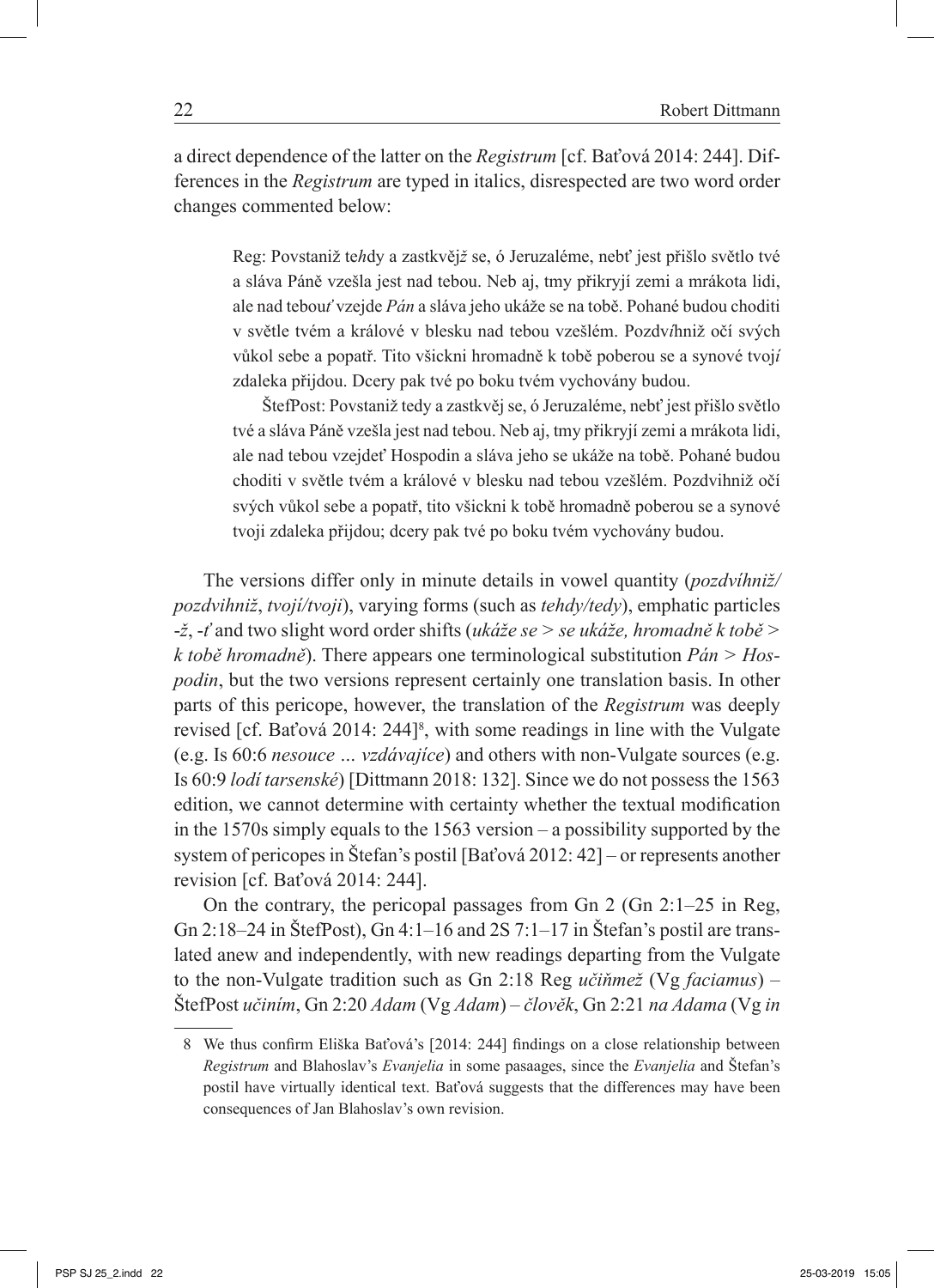a direct dependence of the latter on the *Registrum* [cf. Baťová 2014: 244]. Differences in the *Registrum* are typed in italics, disrespected are two word order changes commented below:

Reg: Povstaniž te*h*dy a zastkvěj*ž* se, ó Jeruzaléme, nebť jest přišlo světlo tvé a sláva Páně vzešla jest nad tebou. Neb aj, tmy přikryjí zemi a mrákota lidi, ale nad tebou*ť* vzejde *Pán* a sláva jeho ukáže se na tobě. Pohané budou choditi v světle tvém a králové v blesku nad tebou vzešlém. Pozdv*í*hniž očí svých vůkol sebe a popatř. Tito všickni hromadně k tobě poberou se a synové tvoj*í* zdaleka přijdou. Dcery pak tvé po boku tvém vychovány budou.

ŠtefPost: Povstaniž tedy a zastkvěj se, ó Jeruzaléme, nebť jest přišlo světlo tvé a sláva Páně vzešla jest nad tebou. Neb aj, tmy přikryjí zemi a mrákota lidi, ale nad tebou vzejdeť Hospodin a sláva jeho se ukáže na tobě. Pohané budou choditi v světle tvém a králové v blesku nad tebou vzešlém. Pozdvihniž očí svých vůkol sebe a popatř, tito všickni k tobě hromadně poberou se a synové tvoji zdaleka přijdou; dcery pak tvé po boku tvém vychovány budou.

The versions differ only in minute details in vowel quantity (*pozdvíhniž/ pozdvihniž*, *tvojí/tvoji*), varying forms (such as *tehdy/tedy*), emphatic particles -*ž*, -*ť* and two slight word order shifts (*ukáže se > se ukáže, hromadně k tobě > k tobě hromadně*). There appears one terminological substitution *Pán > Hospodin*, but the two versions represent certainly one translation basis. In other parts of this pericope, however, the translation of the *Registrum* was deeply revised [cf. Baťová 2014: 244]<sup>8</sup>, with some readings in line with the Vulgate (e.g. Is 60:6 *nesouce … vzdávajíce*) and others with non-Vulgate sources (e.g. Is 60:9 *lodí tarsenské*) [Dittmann 2018: 132]. Since we do not possess the 1563 edition, we cannot determine with certainty whether the textual modification in the 1570s simply equals to the 1563 version – a possibility supported by the system of pericopes in Štefan's postil [Baťová 2012: 42] – or represents another revision [cf. Baťová 2014: 244].

On the contrary, the pericopal passages from Gn  $2$  (Gn  $2:1-25$  in Reg, Gn 2:18–24 in ŠtefPost), Gn 4:1–16 and 2S 7:1–17 in Štefan's postil are translated anew and independently, with new readings departing from the Vulgate to the non-Vulgate tradition such as Gn 2:18 Reg *učiňmež* (Vg *faciamus*) – ŠtefPost *učiním*, Gn 2:20 *Adam* (Vg *Adam*) – *člověk*, Gn 2:21 *na Adama* (Vg *in* 

<sup>8</sup> We thus confirm Eliška Baťová's [2014: 244] findings on a close relationship between *Registrum* and Blahoslav's *Evanjelia* in some pasaages, since the *Evanjelia* and Štefan's postil have virtually identical text. Baťová suggests that the differences may have been consequences of Jan Blahoslav's own revision.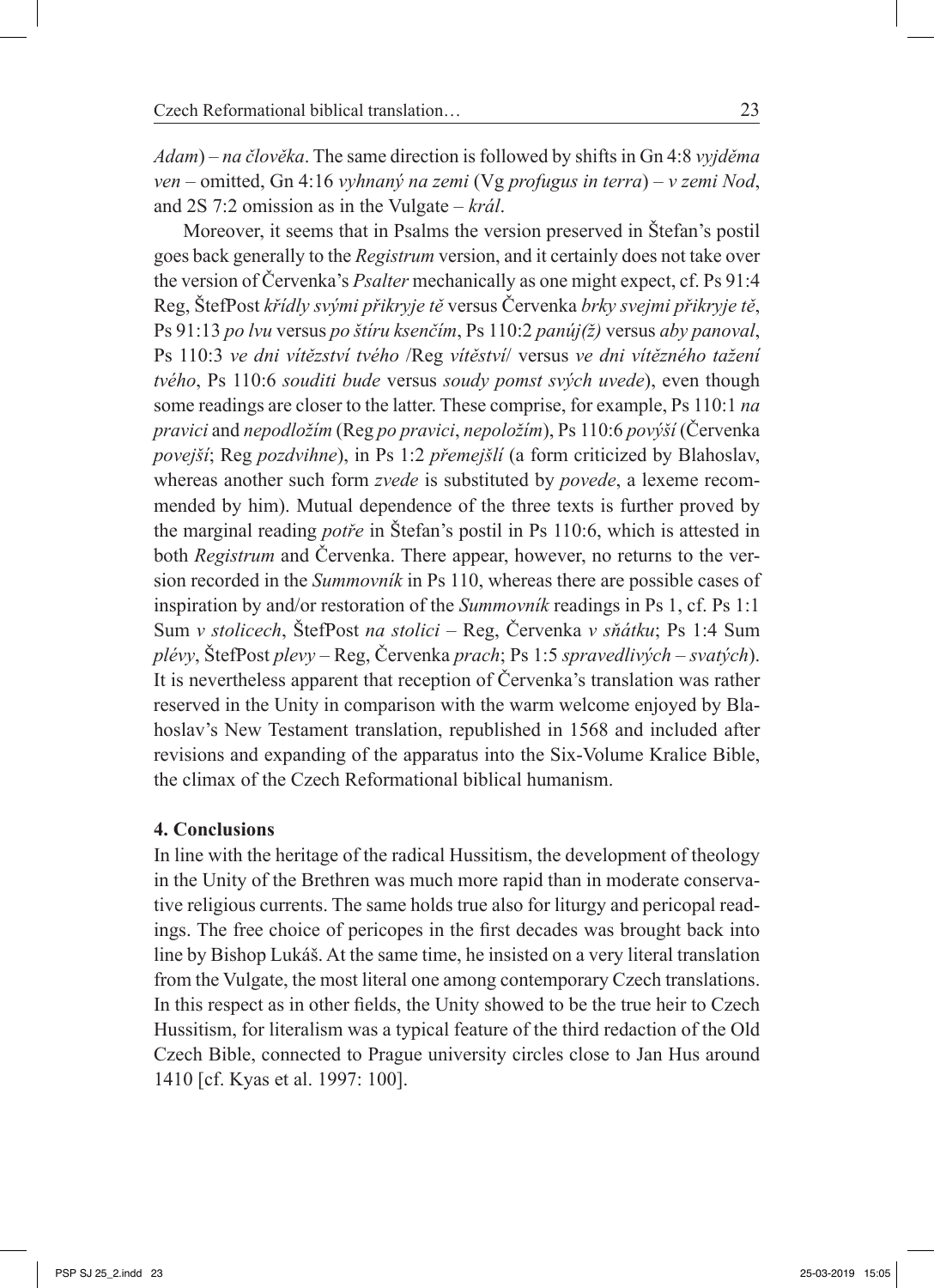*Adam*) – *na člověka*. The same direction is followed by shifts in Gn 4:8 *vyjděma ven* – omitted, Gn 4:16 *vyhnaný na zemi* (Vg *profugus in terra*) – *v zemi Nod*, and 2S 7:2 omission as in the Vulgate – *král*.

Moreover, it seems that in Psalms the version preserved in Štefan's postil goes back generally to the *Registrum* version, and it certainly does not take over the version of Červenka's *Psalter* mechanically as one might expect, cf. Ps 91:4 Reg, ŠtefPost *křídly svými přikryje tě* versus Červenka *brky svejmi přikryje tě*, Ps 91:13 *po lvu* versus *po štíru ksenčím*, Ps 110:2 *panúj(ž)* versus *aby panoval*, Ps 110:3 *ve dni vítězství tvého* /Reg *vítěství*/ versus *ve dni vítězného tažení tvého*, Ps 110:6 *souditi bude* versus *soudy pomst svých uvede*), even though some readings are closer to the latter. These comprise, for example, Ps 110:1 *na pravici* and *nepodložím* (Reg *po pravici*, *nepoložím*), Ps 110:6 *povýší* (Červenka *povejší*; Reg *pozdvihne*), in Ps 1:2 *přemejšlí* (a form criticized by Blahoslav, whereas another such form *zvede* is substituted by *povede*, a lexeme recommended by him). Mutual dependence of the three texts is further proved by the marginal reading *potře* in Štefan's postil in Ps 110:6, which is attested in both *Registrum* and Červenka. There appear, however, no returns to the version recorded in the *Summovník* in Ps 110, whereas there are possible cases of inspiration by and/or restoration of the *Summovník* readings in Ps 1, cf. Ps 1:1 Sum *v stolicech*, ŠtefPost *na stolici* – Reg, Červenka *v sňátku*; Ps 1:4 Sum *plévy*, ŠtefPost *plevy* – Reg, Červenka *prach*; Ps 1:5 *spravedlivých* – *svatých*). It is nevertheless apparent that reception of Červenka's translation was rather reserved in the Unity in comparison with the warm welcome enjoyed by Blahoslav's New Testament translation, republished in 1568 and included after revisions and expanding of the apparatus into the Six-Volume Kralice Bible, the climax of the Czech Reformational biblical humanism.

### **4. Conclusions**

In line with the heritage of the radical Hussitism, the development of theology in the Unity of the Brethren was much more rapid than in moderate conservative religious currents. The same holds true also for liturgy and pericopal readings. The free choice of pericopes in the first decades was brought back into line by Bishop Lukáš. At the same time, he insisted on a very literal translation from the Vulgate, the most literal one among contemporary Czech translations. In this respect as in other fields, the Unity showed to be the true heir to Czech Hussitism, for literalism was a typical feature of the third redaction of the Old Czech Bible, connected to Prague university circles close to Jan Hus around 1410 [cf. Kyas et al. 1997: 100].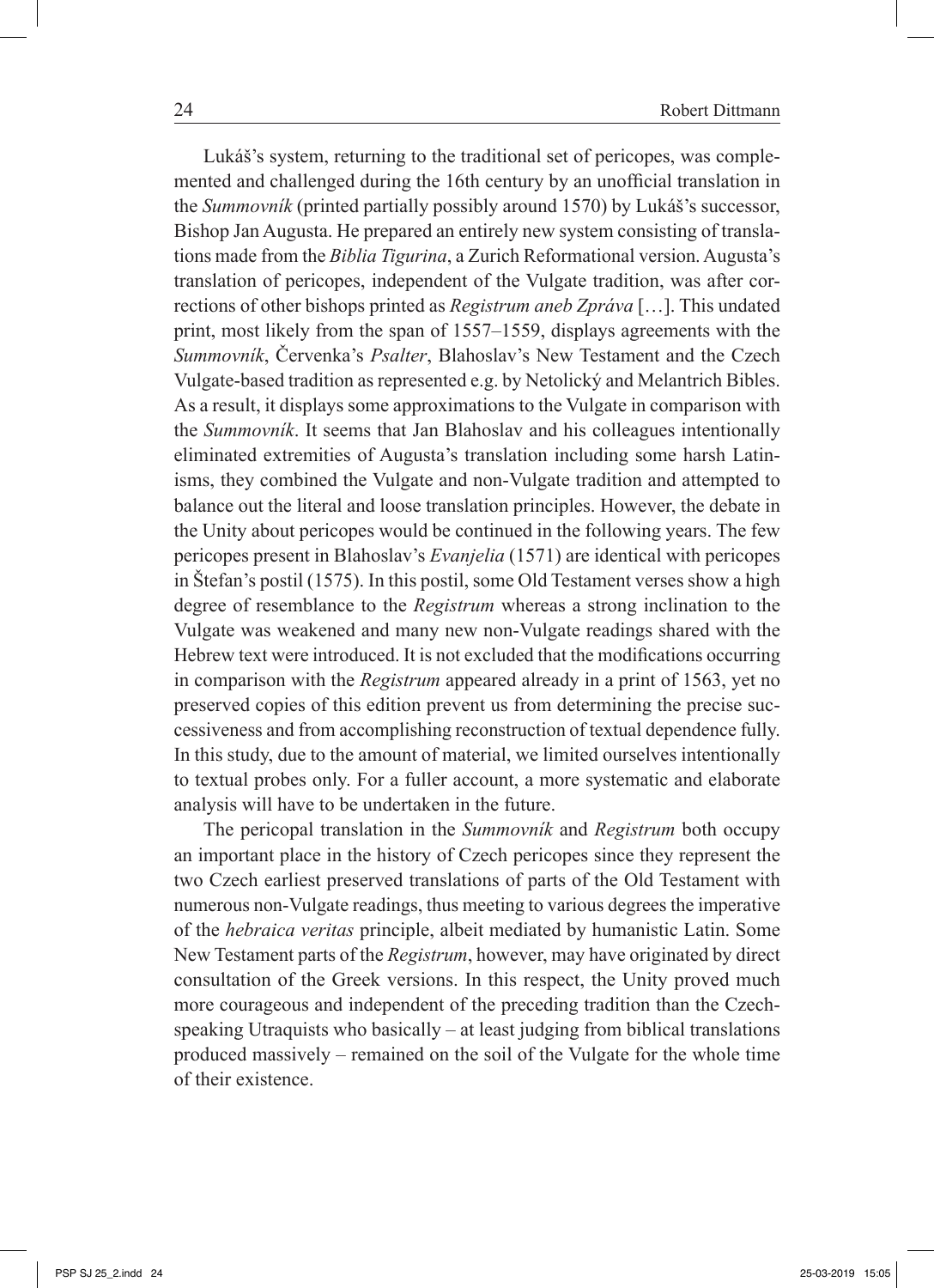Lukáš's system, returning to the traditional set of pericopes, was complemented and challenged during the 16th century by an unofficial translation in the *Summovník* (printed partially possibly around 1570) by Lukáš's successor, Bishop Jan Augusta. He prepared an entirely new system consisting of translations made from the *Biblia Tigurina*, a Zurich Reformational version. Augusta's translation of pericopes, independent of the Vulgate tradition, was after corrections of other bishops printed as *Registrum aneb Zpráva* […]. This undated print, most likely from the span of 1557–1559, displays agreements with the *Summovník*, Červenka's *Psalter*, Blahoslav's New Testament and the Czech Vulgate-based tradition as represented e.g. by Netolický and Melantrich Bibles. As a result, it displays some approximations to the Vulgate in comparison with the *Summovník*. It seems that Jan Blahoslav and his colleagues intentionally eliminated extremities of Augusta's translation including some harsh Latinisms, they combined the Vulgate and non-Vulgate tradition and attempted to balance out the literal and loose translation principles. However, the debate in the Unity about pericopes would be continued in the following years. The few pericopes present in Blahoslav's *Evanjelia* (1571) are identical with pericopes in Štefan's postil (1575). In this postil, some Old Testament verses show a high degree of resemblance to the *Registrum* whereas a strong inclination to the Vulgate was weakened and many new non-Vulgate readings shared with the Hebrew text were introduced. It is not excluded that the modifications occurring in comparison with the *Registrum* appeared already in a print of 1563, yet no preserved copies of this edition prevent us from determining the precise successiveness and from accomplishing reconstruction of textual dependence fully. In this study, due to the amount of material, we limited ourselves intentionally to textual probes only. For a fuller account, a more systematic and elaborate analysis will have to be undertaken in the future.

The pericopal translation in the *Summovník* and *Registrum* both occupy an important place in the history of Czech pericopes since they represent the two Czech earliest preserved translations of parts of the Old Testament with numerous non-Vulgate readings, thus meeting to various degrees the imperative of the *hebraica veritas* principle, albeit mediated by humanistic Latin. Some New Testament parts of the *Registrum*, however, may have originated by direct consultation of the Greek versions. In this respect, the Unity proved much more courageous and independent of the preceding tradition than the Czechspeaking Utraquists who basically – at least judging from biblical translations produced massively – remained on the soil of the Vulgate for the whole time of their existence.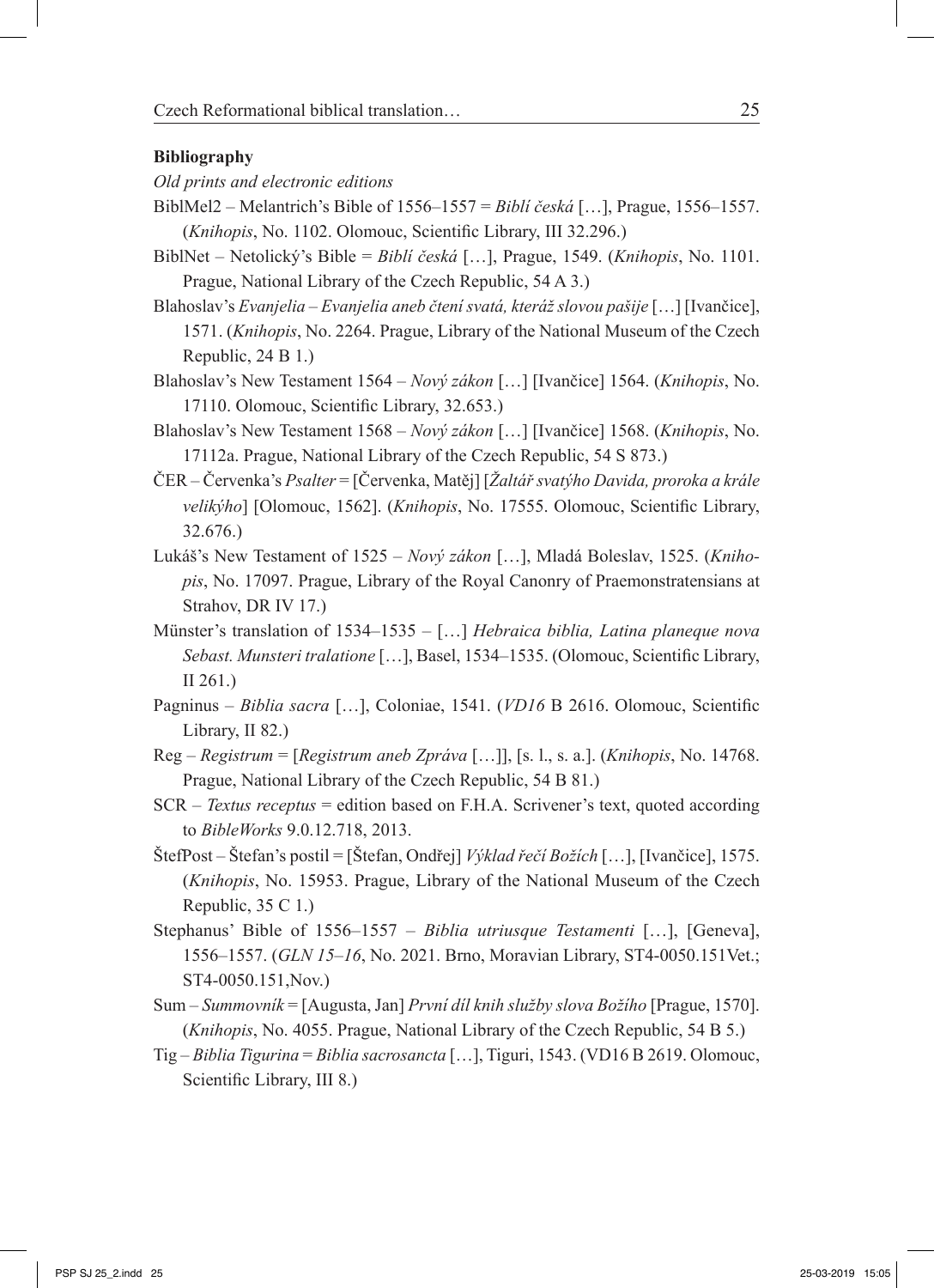#### **Bibliography**

- *Old prints and electronic editions*
- BiblMel2 Melantrich's Bible of 1556–1557 = *Bibli česká* [...], Prague, 1556–1557. (*Knihopis*, No. 1102. Olomouc, Scientific Library, III 32.296.)
- BiblNet Netolický's Bible = *Biblí česká* […], Prague, 1549. (*Knihopis*, No. 1101. Prague, National Library of the Czech Republic, 54 A 3.)
- Blahoslav's *Evanjelia Evanjelia aneb čtení svatá, kteráž slovou pašije* […] [Ivančice], 1571. (*Knihopis*, No. 2264. Prague, Library of the National Museum of the Czech Republic, 24 B 1.)
- Blahoslav's New Testament 1564 *Nový zákon* […] [Ivančice] 1564. (*Knihopis*, No. 17110. Olomouc, Scientific Library, 32.653.)
- Blahoslav's New Testament 1568 *Nový zákon* […] [Ivančice] 1568. (*Knihopis*, No. 17112a. Prague, National Library of the Czech Republic, 54 S 873.)
- ČER Červenka's *Psalter* = [Červenka, Matěj] [*Žaltář svatýho Davida, proroka a krále velikýho*] [Olomouc, 1562]. (*Knihopis*, No. 17555. Olomouc, Scientific Library, 32.676.)
- Lukáš's New Testament of 1525 *Nový zákon* […], Mladá Boleslav, 1525. (*Knihopis*, No. 17097. Prague, Library of the Royal Canonry of Praemonstratensians at Strahov, DR IV 17.)
- Münster's translation of 1534‒1535 […] *Hebraica biblia, Latina planeque nova Sebast. Munsteri tralatione* […], Basel, 1534‒1535. (Olomouc, Scientific Library, II 261.)
- Pagninus *Biblia sacra* […], Coloniae, 1541. (*VD16* B 2616. Olomouc, Scientific Library, II 82.)
- Reg *Registrum* = [*Registrum aneb Zpráva* […]], [s. l., s. a.]. (*Knihopis*, No. 14768. Prague, National Library of the Czech Republic, 54 B 81.)
- SCR *Textus receptus* = edition based on F.H.A. Scrivener's text, quoted according to *BibleWorks* 9.0.12.718, 2013.
- ŠtefPost Štefan's postil = [Štefan, Ondřej] *Výklad řečí Božích* […], [Ivančice], 1575. (*Knihopis*, No. 15953. Prague, Library of the National Museum of the Czech Republic, 35 C 1.)
- Stephanus' Bible of 1556–1557 *Biblia utriusque Testamenti* [...], [Geneva], 1556‒1557. (*GLN 15‒16*, No. 2021. Brno, Moravian Library, ST4-0050.151Vet.; ST4-0050.151,Nov.)
- Sum *Summovník* = [Augusta, Jan] *První díl knih služby slova Božího* [Prague, 1570]. (*Knihopis*, No. 4055. Prague, National Library of the Czech Republic, 54 B 5.)
- Tig *Biblia Tigurina* = *Biblia sacrosancta* […], Tiguri, 1543. (VD16 B 2619. Olomouc, Scientific Library, III 8.)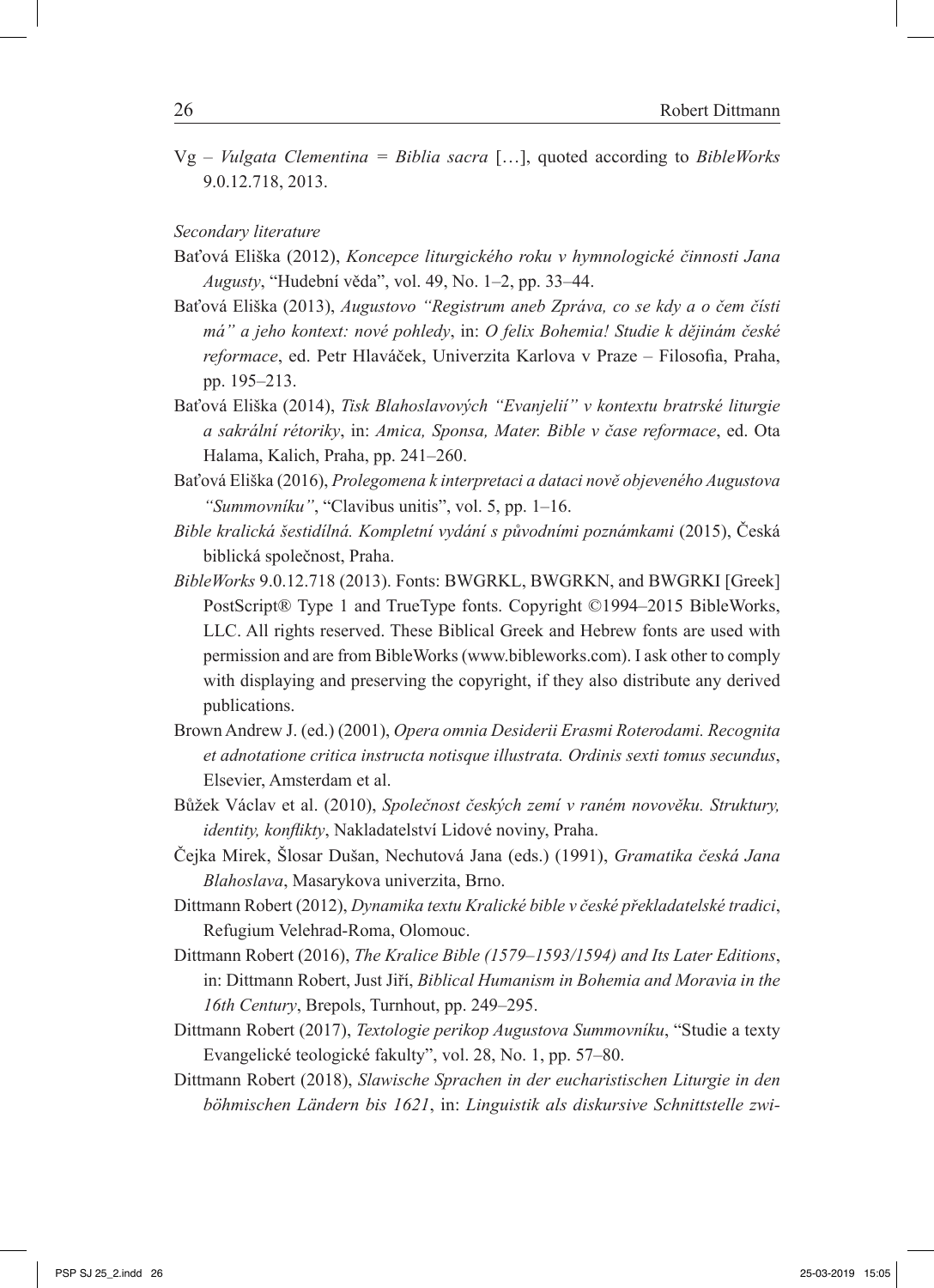Vg – *Vulgata Clementina = Biblia sacra* […], quoted according to *BibleWorks* 9.0.12.718, 2013.

*Secondary literature*

- Baťová Eliška (2012), *Koncepce liturgického roku v hymnologické činnosti Jana Augusty*, "Hudební věda", vol. 49, No. 1‒2, pp. 33‒44.
- Baťová Eliška (2013), *Augustovo "Registrum aneb Zpráva, co se kdy a o čem čísti má" a jeho kontext: nové pohledy*, in: *O felix Bohemia! Studie k dějinám české reformace*, ed. Petr Hlaváček, Univerzita Karlova v Praze – Filosofia, Praha, pp. 195‒213.
- Baťová Eliška (2014), *Tisk Blahoslavových "Evanjelií" v kontextu bratrské liturgie a sakrální rétoriky*, in: *Amica, Sponsa, Mater. Bible v čase reformace*, ed. Ota Halama, Kalich, Praha, pp. 241–260.
- Baťová Eliška (2016), *Prolegomena k interpretaci a dataci nově objeveného Augustova "Summovníku"*, "Clavibus unitis", vol. 5, pp. 1‒16.
- *Bible kralická šestidílná. Kompletní vydání s původními poznámkami* (2015), Česká biblická společnost, Praha.
- *BibleWorks* 9.0.12.718 (2013). Fonts: BWGRKL, BWGRKN, and BWGRKI [Greek] PostScript® Type 1 and TrueType fonts. Copyright ©1994–2015 BibleWorks, LLC. All rights reserved. These Biblical Greek and Hebrew fonts are used with permission and are from BibleWorks (www.bibleworks.com). I ask other to comply with displaying and preserving the copyright, if they also distribute any derived publications.
- Brown Andrew J. (ed.) (2001), *Opera omnia Desiderii Erasmi Roterodami. Recognita et adnotatione critica instructa notisque illustrata. Ordinis sexti tomus secundus*, Elsevier, Amsterdam et al.
- Bůžek Václav et al. (2010), *Společnost českých zemí v raném novověku. Struktury, identity, konflikty*, Nakladatelství Lidové noviny, Praha.
- Čejka Mirek, Šlosar Dušan, Nechutová Jana (eds.) (1991), *Gramatika česká Jana Blahoslava*, Masarykova univerzita, Brno.
- Dittmann Robert (2012), *Dynamika textu Kralické bible v české překladatelské tradici*, Refugium Velehrad-Roma, Olomouc.
- Dittmann Robert (2016), *The Kralice Bible (1579‒1593/1594) and Its Later Editions*, in: Dittmann Robert, Just Jiří, *Biblical Humanism in Bohemia and Moravia in the 16th Century*, Brepols, Turnhout, pp. 249–295.
- Dittmann Robert (2017), *Textologie perikop Augustova Summovníku*, "Studie a texty Evangelické teologické fakulty", vol. 28, No. 1, pp. 57‒80.
- Dittmann Robert (2018), *Slawische Sprachen in der eucharistischen Liturgie in den böhmischen Ländern bis 1621*, in: *Linguistik als diskursive Schnittstelle zwi-*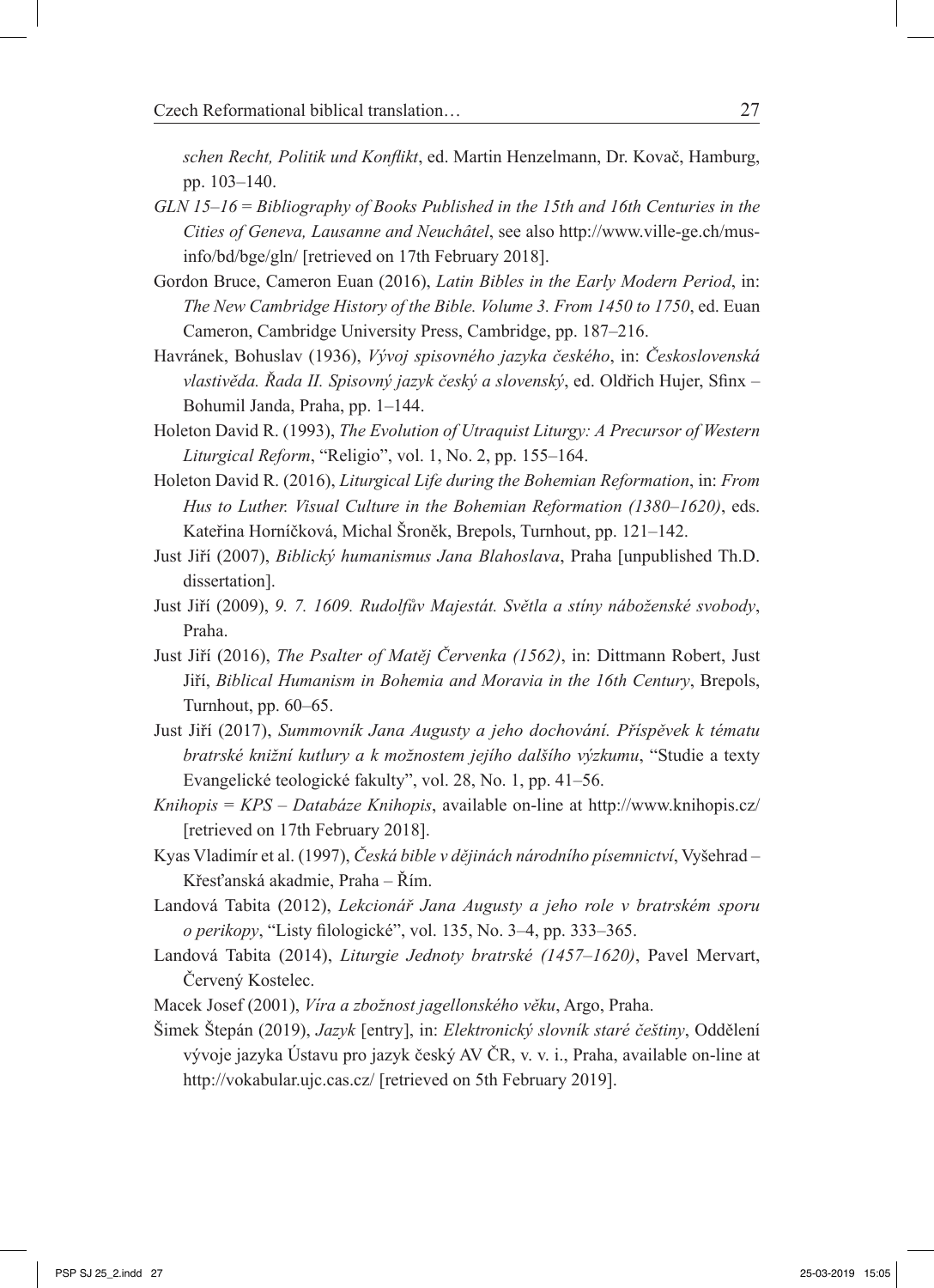*schen Recht, Politik und Konflikt*, ed. Martin Henzelmann, Dr. Kovač, Hamburg, pp. 103‒140.

- *GLN 15‒16* = *Bibliography of Books Published in the 15th and 16th Centuries in the Cities of Geneva, Lausanne and Neuchâtel*, see also http://www.ville-ge.ch/musinfo/bd/bge/gln/ [retrieved on 17th February 2018].
- Gordon Bruce, Cameron Euan (2016), *Latin Bibles in the Early Modern Period*, in: *The New Cambridge History of the Bible. Volume 3. From 1450 to 1750*, ed. Euan Cameron, Cambridge University Press, Cambridge, pp. 187–216.
- Havránek, Bohuslav (1936), *Vývoj spisovného jazyka českého*, in: *Československá vlastivěda. Řada II. Spisovný jazyk český a slovenský*, ed. Oldřich Hujer, Sfinx ‒ Bohumil Janda, Praha, pp. 1–144.
- Holeton David R. (1993), *The Evolution of Utraquist Liturgy: A Precursor of Western Liturgical Reform*, "Religio", vol. 1, No. 2, pp. 155–164.
- Holeton David R. (2016), *Liturgical Life during the Bohemian Reformation*, in: *From Hus to Luther. Visual Culture in the Bohemian Reformation (1380–1620)*, eds. Kateřina Horníčková, Michal Šroněk, Brepols, Turnhout, pp. 121–142.
- Just Jiří (2007), *Biblický humanismus Jana Blahoslava*, Praha [unpublished Th.D. dissertation].
- Just Jiří (2009), *9. 7. 1609. Rudolfův Majestát. Světla a stíny náboženské svobody*, Praha.
- Just Jiří (2016), *The Psalter of Matěj Červenka (1562)*, in: Dittmann Robert, Just Jiří, *Biblical Humanism in Bohemia and Moravia in the 16th Century*, Brepols, Turnhout, pp.  $60-65$ .
- Just Jiří (2017), *Summovník Jana Augusty a jeho dochování. Příspěvek k tématu bratrské knižní kutlury a k možnostem jejího dalšího výzkumu*, "Studie a texty Evangelické teologické fakulty", vol. 28, No. 1, pp. 41–56.
- *Knihopis* = *KPS Databáze Knihopis*, available on-line at http://www.knihopis.cz/ [retrieved on 17th February 2018].
- Kyas Vladimír et al. (1997), *Česká bible v dějinách národního písemnictví*, Vyšehrad Křesťanská akadmie, Praha – Řím.
- Landová Tabita (2012), *Lekcionář Jana Augusty a jeho role v bratrském sporu o perikopy*, "Listy filologické", vol. 135, No. 3‒4, pp. 333‒365.
- Landová Tabita (2014), *Liturgie Jednoty bratrské (1457‒1620)*, Pavel Mervart, Červený Kostelec.
- Macek Josef (2001), *Víra a zbožnost jagellonského věku*, Argo, Praha.
- Šimek Štepán (2019), *Jazyk* [entry], in: *Elektronický slovník staré češtiny*, Oddělení vývoje jazyka Ústavu pro jazyk český AV ČR, v. v. i., Praha, available on-line at http://vokabular.ujc.cas.cz/ [retrieved on 5th February 2019].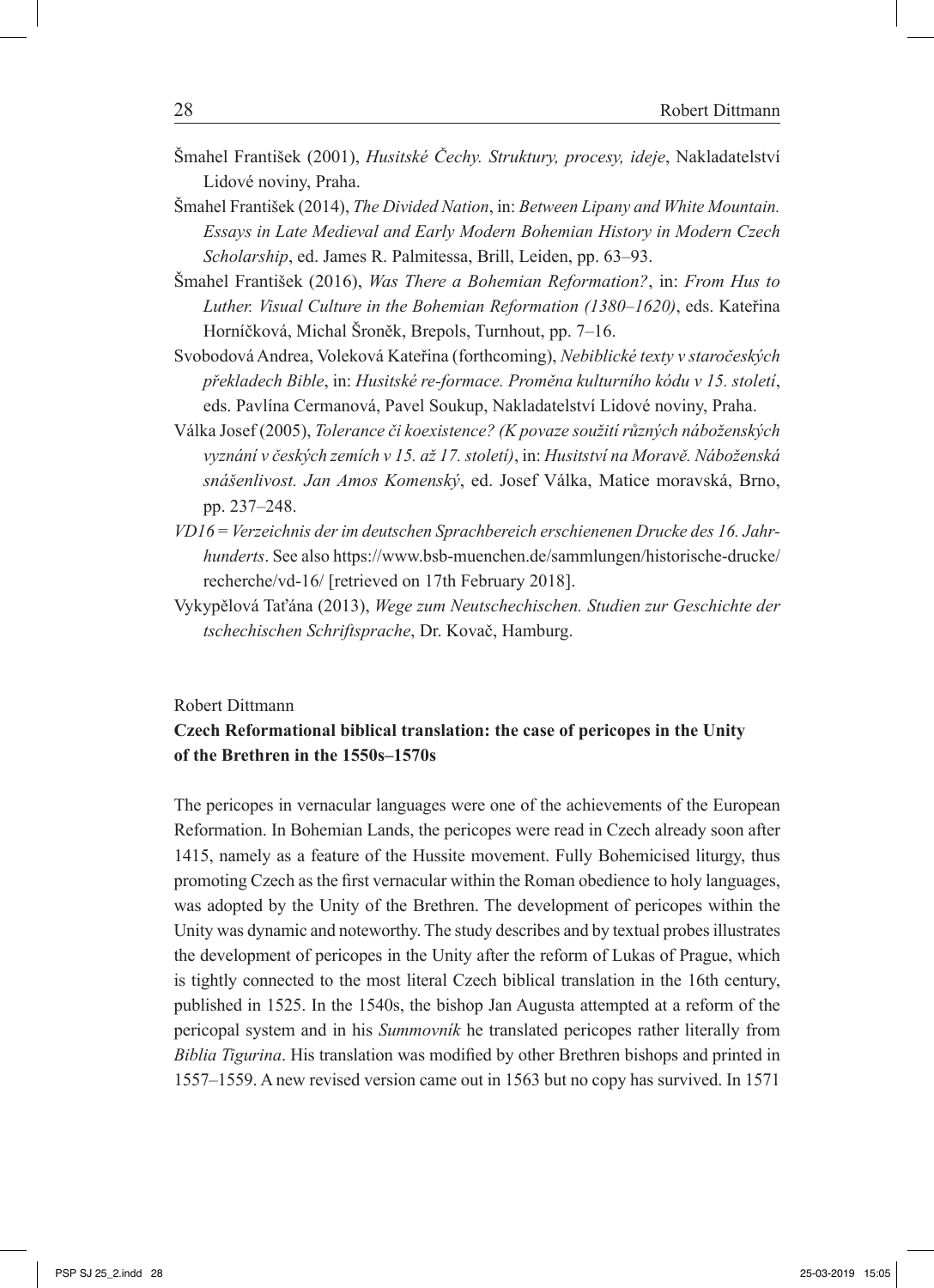- Šmahel František (2001), *Husitské Čechy. Struktury, procesy, ideje*, Nakladatelství Lidové noviny, Praha.
- Šmahel František (2014), *The Divided Nation*, in: *Between Lipany and White Mountain. Essays in Late Medieval and Early Modern Bohemian History in Modern Czech Scholarship*, ed. James R. Palmitessa, Brill, Leiden, pp. 63–93.
- Šmahel František (2016), *Was There a Bohemian Reformation?*, in: *From Hus to Luther. Visual Culture in the Bohemian Reformation (1380‒1620)*, eds. Kateřina Horníčková, Michal Šroněk, Brepols, Turnhout, pp. 7‒16.
- Svobodová Andrea, Voleková Kateřina (forthcoming), *Nebiblické texty v staročeských překladech Bible*, in: *Husitské re-formace. Proměna kulturního kódu v 15. století*, eds. Pavlína Cermanová, Pavel Soukup, Nakladatelství Lidové noviny, Praha.
- Válka Josef (2005), *Tolerance či koexistence? (K povaze soužití různých náboženských vyznání v českých zemích v 15. až 17. století)*, in: *Husitství na Moravě. Náboženská snášenlivost. Jan Amos Komenský*, ed. Josef Válka, Matice moravská, Brno, pp. 237‒248.
- *VD16* = *Verzeichnis der im deutschen Sprachbereich erschienenen Drucke des 16. Jahrhunderts*. See also https://www.bsb-muenchen.de/sammlungen/historische-drucke/ recherche/vd-16/ [retrieved on 17th February 2018].
- Vykypělová Taťána (2013), *Wege zum Neutschechischen. Studien zur Geschichte der tschechischen Schriftsprache*, Dr. Kovač, Hamburg.

#### Robert Dittmann

### **Czech Reformational biblical translation: the case of pericopes in the Unity of the Brethren in the 1550s‒1570s**

The pericopes in vernacular languages were one of the achievements of the European Reformation. In Bohemian Lands, the pericopes were read in Czech already soon after 1415, namely as a feature of the Hussite movement. Fully Bohemicised liturgy, thus promoting Czech as the first vernacular within the Roman obedience to holy languages, was adopted by the Unity of the Brethren. The development of pericopes within the Unity was dynamic and noteworthy. The study describes and by textual probes illustrates the development of pericopes in the Unity after the reform of Lukas of Prague, which is tightly connected to the most literal Czech biblical translation in the 16th century, published in 1525. In the 1540s, the bishop Jan Augusta attempted at a reform of the pericopal system and in his *Summovník* he translated pericopes rather literally from *Biblia Tigurina*. His translation was modified by other Brethren bishops and printed in 1557‒1559. A new revised version came out in 1563 but no copy has survived. In 1571